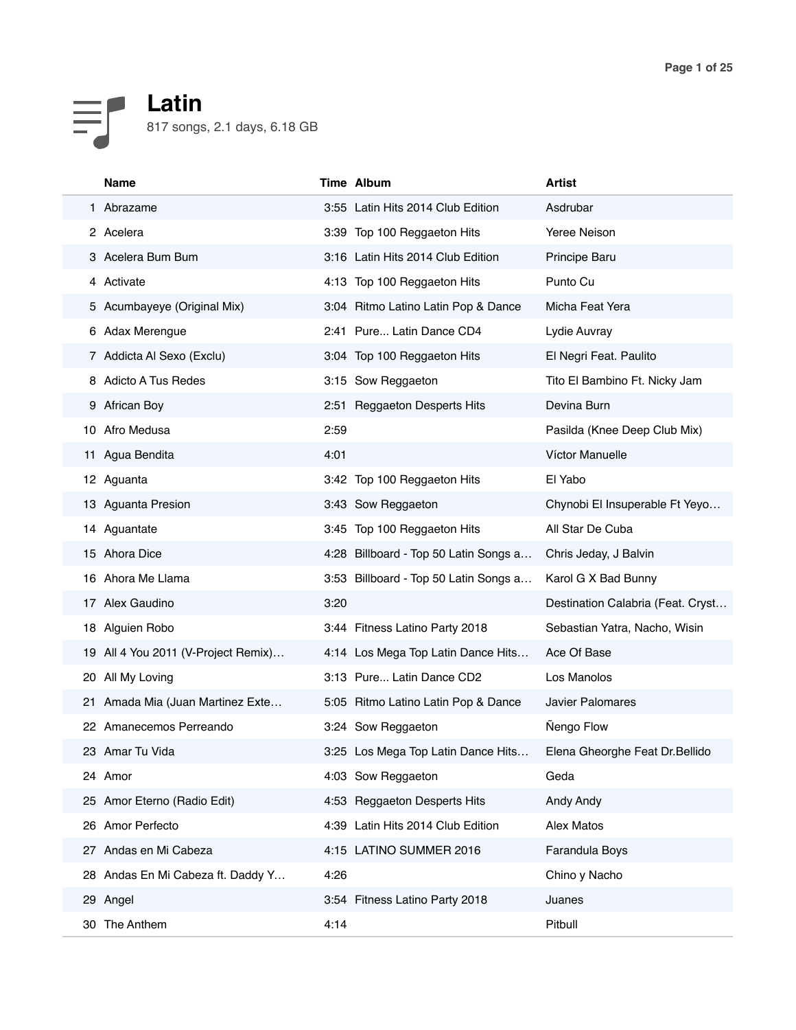## **Latin**  $\equiv$ 817 songs, 2.1 days, 6.18 GB

|     | Name                                |      | Time Album                            | <b>Artist</b>                     |
|-----|-------------------------------------|------|---------------------------------------|-----------------------------------|
|     | 1 Abrazame                          |      | 3:55 Latin Hits 2014 Club Edition     | Asdrubar                          |
|     | 2 Acelera                           |      | 3:39 Top 100 Reggaeton Hits           | Yeree Neison                      |
|     | 3 Acelera Bum Bum                   |      | 3:16 Latin Hits 2014 Club Edition     | Principe Baru                     |
|     | 4 Activate                          |      | 4:13 Top 100 Reggaeton Hits           | Punto Cu                          |
|     | 5 Acumbayeye (Original Mix)         |      | 3:04 Ritmo Latino Latin Pop & Dance   | Micha Feat Yera                   |
|     | 6 Adax Merengue                     |      | 2:41 Pure Latin Dance CD4             | Lydie Auvray                      |
|     | 7 Addicta Al Sexo (Exclu)           |      | 3:04 Top 100 Reggaeton Hits           | El Negri Feat. Paulito            |
|     | 8 Adicto A Tus Redes                |      | 3:15 Sow Reggaeton                    | Tito El Bambino Ft. Nicky Jam     |
|     | 9 African Boy                       |      | 2:51 Reggaeton Desperts Hits          | Devina Burn                       |
| 10. | Afro Medusa                         | 2:59 |                                       | Pasilda (Knee Deep Club Mix)      |
|     | 11 Agua Bendita                     | 4:01 |                                       | Víctor Manuelle                   |
|     | 12 Aguanta                          |      | 3:42 Top 100 Reggaeton Hits           | El Yabo                           |
|     | 13 Aguanta Presion                  |      | 3:43 Sow Reggaeton                    | Chynobi El Insuperable Ft Yeyo    |
|     | 14 Aguantate                        |      | 3:45 Top 100 Reggaeton Hits           | All Star De Cuba                  |
|     | 15 Ahora Dice                       |      | 4:28 Billboard - Top 50 Latin Songs a | Chris Jeday, J Balvin             |
|     | 16 Ahora Me Llama                   |      | 3:53 Billboard - Top 50 Latin Songs a | Karol G X Bad Bunny               |
|     | 17 Alex Gaudino                     | 3:20 |                                       | Destination Calabria (Feat. Cryst |
|     | 18 Alguien Robo                     |      | 3:44 Fitness Latino Party 2018        | Sebastian Yatra, Nacho, Wisin     |
|     | 19 All 4 You 2011 (V-Project Remix) |      | 4:14 Los Mega Top Latin Dance Hits    | Ace Of Base                       |
|     | 20 All My Loving                    |      | 3:13 Pure Latin Dance CD2             | Los Manolos                       |
|     | 21 Amada Mia (Juan Martinez Exte    |      | 5:05 Ritmo Latino Latin Pop & Dance   | <b>Javier Palomares</b>           |
|     | 22 Amanecemos Perreando             |      | 3:24 Sow Reggaeton                    | <b>Nengo Flow</b>                 |
|     | 23   Amar Tu Vida                   |      | 3:25 Los Mega Top Latin Dance Hits    | Elena Gheorghe Feat Dr. Bellido   |
|     | 24 Amor                             |      | 4:03 Sow Reggaeton                    | Geda                              |
|     | 25 Amor Eterno (Radio Edit)         |      | 4:53 Reggaeton Desperts Hits          | Andy Andy                         |
|     | 26 Amor Perfecto                    |      | 4:39 Latin Hits 2014 Club Edition     | Alex Matos                        |
|     | 27 Andas en Mi Cabeza               |      | 4:15 LATINO SUMMER 2016               | Farandula Boys                    |
| 28  | Andas En Mi Cabeza ft. Daddy Y      | 4:26 |                                       | Chino y Nacho                     |
|     | 29 Angel                            |      | 3:54 Fitness Latino Party 2018        | Juanes                            |
|     | 30 The Anthem                       | 4:14 |                                       | Pitbull                           |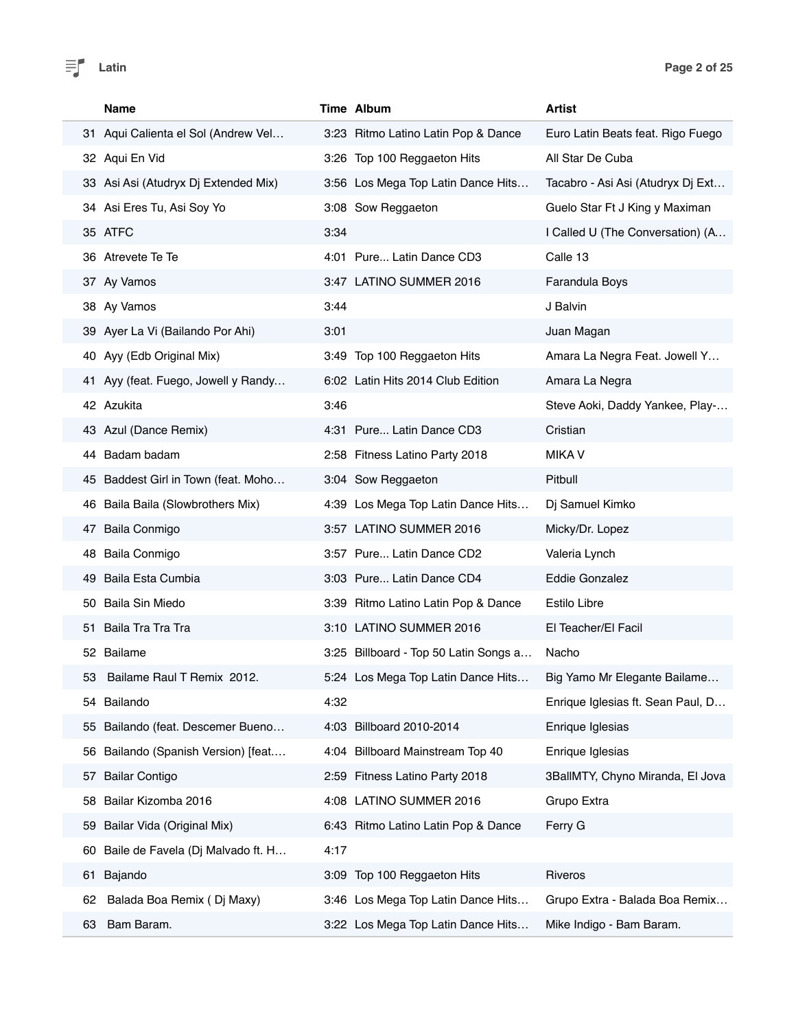

|    | <b>Name</b>                          |      | Time Album                            | <b>Artist</b>                     |
|----|--------------------------------------|------|---------------------------------------|-----------------------------------|
|    | 31 Aqui Calienta el Sol (Andrew Vel  |      | 3:23 Ritmo Latino Latin Pop & Dance   | Euro Latin Beats feat. Rigo Fuego |
|    | 32 Aqui En Vid                       |      | 3:26 Top 100 Reggaeton Hits           | All Star De Cuba                  |
|    | 33 Asi Asi (Atudryx Dj Extended Mix) |      | 3:56 Los Mega Top Latin Dance Hits    | Tacabro - Asi Asi (Atudryx Dj Ext |
|    | 34 Asi Eres Tu, Asi Soy Yo           |      | 3:08 Sow Reggaeton                    | Guelo Star Ft J King y Maximan    |
|    | 35 ATFC                              | 3:34 |                                       | I Called U (The Conversation) (A  |
|    | 36 Atrevete Te Te                    |      | 4:01 Pure Latin Dance CD3             | Calle 13                          |
|    | 37 Ay Vamos                          |      | 3:47 LATINO SUMMER 2016               | Farandula Boys                    |
|    | 38 Ay Vamos                          | 3:44 |                                       | J Balvin                          |
|    | 39 Ayer La Vi (Bailando Por Ahi)     | 3:01 |                                       | Juan Magan                        |
|    | 40 Ayy (Edb Original Mix)            |      | 3:49 Top 100 Reggaeton Hits           | Amara La Negra Feat. Jowell Y     |
|    | 41 Ayy (feat. Fuego, Jowell y Randy  |      | 6:02 Latin Hits 2014 Club Edition     | Amara La Negra                    |
|    | 42 Azukita                           | 3:46 |                                       | Steve Aoki, Daddy Yankee, Play-   |
|    | 43 Azul (Dance Remix)                |      | 4:31 Pure Latin Dance CD3             | Cristian                          |
|    | 44 Badam badam                       |      | 2:58 Fitness Latino Party 2018        | <b>MIKA V</b>                     |
|    | 45 Baddest Girl in Town (feat. Moho  |      | 3:04 Sow Reggaeton                    | Pitbull                           |
|    | 46 Baila Baila (Slowbrothers Mix)    |      | 4:39 Los Mega Top Latin Dance Hits    | Dj Samuel Kimko                   |
|    | 47 Baila Conmigo                     |      | 3:57 LATINO SUMMER 2016               | Micky/Dr. Lopez                   |
|    | 48 Baila Conmigo                     |      | 3:57 Pure Latin Dance CD2             | Valeria Lynch                     |
|    | 49 Baila Esta Cumbia                 |      | 3:03 Pure Latin Dance CD4             | Eddie Gonzalez                    |
|    | 50 Baila Sin Miedo                   |      | 3:39 Ritmo Latino Latin Pop & Dance   | Estilo Libre                      |
|    | 51 Baila Tra Tra Tra                 |      | 3:10 LATINO SUMMER 2016               | El Teacher/El Facil               |
|    | 52 Bailame                           |      | 3:25 Billboard - Top 50 Latin Songs a | Nacho                             |
| 53 | Bailame Raul T Remix 2012.           |      | 5:24 Los Mega Top Latin Dance Hits    | Big Yamo Mr Elegante Bailame      |
|    | 54 Bailando                          | 4:32 |                                       | Enrique Iglesias ft. Sean Paul, D |
|    | 55 Bailando (feat. Descemer Bueno    |      | 4:03 Billboard 2010-2014              | Enrique Iglesias                  |
| 56 | Bailando (Spanish Version) [feat     | 4:04 | Billboard Mainstream Top 40           | Enrique Iglesias                  |
| 57 | <b>Bailar Contigo</b>                | 2:59 | Fitness Latino Party 2018             | 3BallMTY, Chyno Miranda, El Jova  |
| 58 | Bailar Kizomba 2016                  | 4:08 | LATINO SUMMER 2016                    | Grupo Extra                       |
| 59 | Bailar Vida (Original Mix)           |      | 6:43 Ritmo Latino Latin Pop & Dance   | Ferry G                           |
| 60 | Baile de Favela (Dj Malvado ft. H    | 4:17 |                                       |                                   |
| 61 | Bajando                              |      | 3:09 Top 100 Reggaeton Hits           | Riveros                           |
| 62 | Balada Boa Remix (Dj Maxy)           |      | 3:46 Los Mega Top Latin Dance Hits    | Grupo Extra - Balada Boa Remix    |
| 63 | Bam Baram.                           |      | 3:22 Los Mega Top Latin Dance Hits    | Mike Indigo - Bam Baram.          |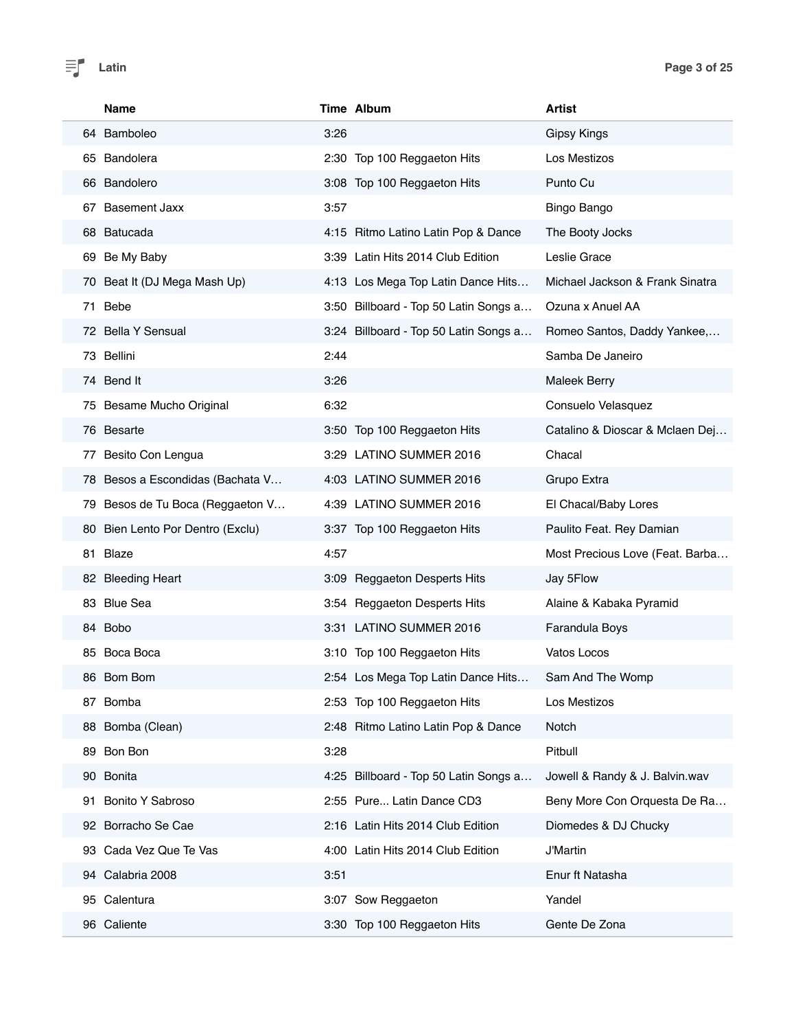|     | <b>Name</b>                      |      | Time Album                            | <b>Artist</b>                   |
|-----|----------------------------------|------|---------------------------------------|---------------------------------|
|     | 64 Bamboleo                      | 3:26 |                                       | <b>Gipsy Kings</b>              |
| 65. | <b>Bandolera</b>                 |      | 2:30 Top 100 Reggaeton Hits           | Los Mestizos                    |
|     | 66 Bandolero                     |      | 3:08 Top 100 Reggaeton Hits           | Punto Cu                        |
| 67  | <b>Basement Jaxx</b>             | 3:57 |                                       | Bingo Bango                     |
|     | 68 Batucada                      |      | 4:15 Ritmo Latino Latin Pop & Dance   | The Booty Jocks                 |
| 69  | Be My Baby                       |      | 3:39 Latin Hits 2014 Club Edition     | Leslie Grace                    |
| 70. | Beat It (DJ Mega Mash Up)        |      | 4:13 Los Mega Top Latin Dance Hits    | Michael Jackson & Frank Sinatra |
| 71  | Bebe                             |      | 3:50 Billboard - Top 50 Latin Songs a | Ozuna x Anuel AA                |
|     | 72 Bella Y Sensual               |      | 3:24 Billboard - Top 50 Latin Songs a | Romeo Santos, Daddy Yankee,     |
|     | 73 Bellini                       | 2:44 |                                       | Samba De Janeiro                |
|     | 74 Bend It                       | 3:26 |                                       | <b>Maleek Berry</b>             |
|     | 75 Besame Mucho Original         | 6:32 |                                       | Consuelo Velasquez              |
|     | 76 Besarte                       |      | 3:50 Top 100 Reggaeton Hits           | Catalino & Dioscar & Mclaen Dej |
| 77  | Besito Con Lengua                |      | 3:29 LATINO SUMMER 2016               | Chacal                          |
|     | 78 Besos a Escondidas (Bachata V |      | 4:03 LATINO SUMMER 2016               | Grupo Extra                     |
| 79  | Besos de Tu Boca (Reggaeton V    |      | 4:39 LATINO SUMMER 2016               | El Chacal/Baby Lores            |
|     | 80 Bien Lento Por Dentro (Exclu) |      | 3:37 Top 100 Reggaeton Hits           | Paulito Feat. Rey Damian        |
| 81  | Blaze                            | 4:57 |                                       | Most Precious Love (Feat. Barba |
|     | 82 Bleeding Heart                |      | 3:09 Reggaeton Desperts Hits          | Jay 5Flow                       |
| 83  | <b>Blue Sea</b>                  |      | 3:54 Reggaeton Desperts Hits          | Alaine & Kabaka Pyramid         |
|     | 84 Bobo                          |      | 3:31 LATINO SUMMER 2016               | <b>Farandula Boys</b>           |
|     | 85 Boca Boca                     |      | 3:10 Top 100 Reggaeton Hits           | Vatos Locos                     |
|     | 86 Bom Bom                       |      | 2:54 Los Mega Top Latin Dance Hits.   | Sam And The Womp                |
| 87  | Bomba                            |      | 2:53 Top 100 Reggaeton Hits           | Los Mestizos                    |
|     | 88 Bomba (Clean)                 |      | 2:48 Ritmo Latino Latin Pop & Dance   | Notch                           |
| 89  | Bon Bon                          | 3:28 |                                       | Pitbull                         |
|     | 90 Bonita                        |      | 4:25 Billboard - Top 50 Latin Songs a | Jowell & Randy & J. Balvin.wav  |
| 91  | Bonito Y Sabroso                 |      | 2:55 Pure Latin Dance CD3             | Beny More Con Orquesta De Ra    |
|     | 92 Borracho Se Cae               |      | 2:16 Latin Hits 2014 Club Edition     | Diomedes & DJ Chucky            |
| 93  | Cada Vez Que Te Vas              |      | 4:00 Latin Hits 2014 Club Edition     | <b>J'Martin</b>                 |
|     | 94 Calabria 2008                 | 3:51 |                                       | Enur ft Natasha                 |
|     | 95 Calentura                     |      | 3:07 Sow Reggaeton                    | Yandel                          |
|     | 96 Caliente                      |      | 3:30 Top 100 Reggaeton Hits           | Gente De Zona                   |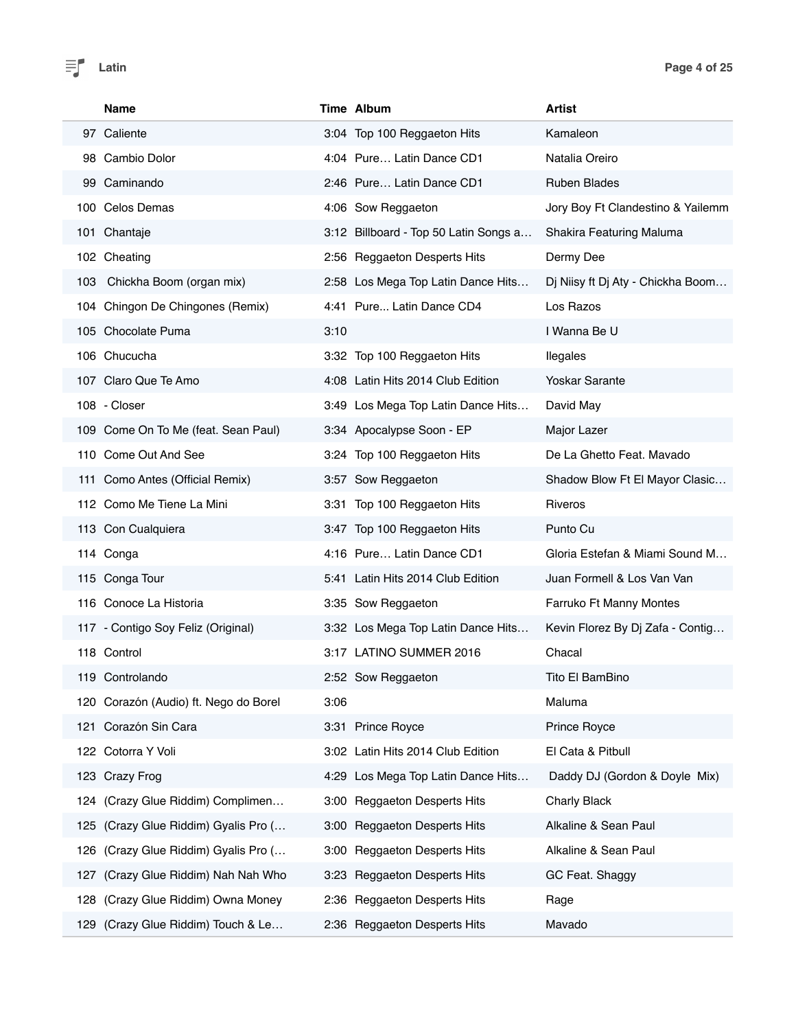|     | Name                                  |      | Time Album                            | Artist                            |
|-----|---------------------------------------|------|---------------------------------------|-----------------------------------|
|     | 97 Caliente                           |      | 3:04 Top 100 Reggaeton Hits           | Kamaleon                          |
|     | 98 Cambio Dolor                       |      | 4:04 Pure Latin Dance CD1             | Natalia Oreiro                    |
|     | 99 Caminando                          |      | 2:46 Pure Latin Dance CD1             | <b>Ruben Blades</b>               |
|     | 100 Celos Demas                       |      | 4:06 Sow Reggaeton                    | Jory Boy Ft Clandestino & Yailemm |
|     | 101 Chantaje                          |      | 3:12 Billboard - Top 50 Latin Songs a | Shakira Featuring Maluma          |
|     | 102 Cheating                          |      | 2:56 Reggaeton Desperts Hits          | Dermy Dee                         |
|     | 103 Chickha Boom (organ mix)          |      | 2:58 Los Mega Top Latin Dance Hits    | Dj Niisy ft Dj Aty - Chickha Boom |
|     | 104 Chingon De Chingones (Remix)      |      | 4:41 Pure Latin Dance CD4             | Los Razos                         |
|     | 105 Chocolate Puma                    | 3:10 |                                       | I Wanna Be U                      |
|     | 106 Chucucha                          |      | 3:32 Top 100 Reggaeton Hits           | llegales                          |
|     | 107 Claro Que Te Amo                  |      | 4:08 Latin Hits 2014 Club Edition     | <b>Yoskar Sarante</b>             |
|     | 108 - Closer                          |      | 3:49 Los Mega Top Latin Dance Hits    | David May                         |
|     | 109 Come On To Me (feat. Sean Paul)   |      | 3:34 Apocalypse Soon - EP             | Major Lazer                       |
|     | 110 Come Out And See                  |      | 3:24 Top 100 Reggaeton Hits           | De La Ghetto Feat. Mavado         |
|     | 111 Como Antes (Official Remix)       |      | 3:57 Sow Reggaeton                    | Shadow Blow Ft El Mayor Clasic    |
|     | 112 Como Me Tiene La Mini             |      | 3:31 Top 100 Reggaeton Hits           | Riveros                           |
|     | 113 Con Cualquiera                    |      | 3:47 Top 100 Reggaeton Hits           | Punto Cu                          |
|     | 114 Conga                             |      | 4:16 Pure Latin Dance CD1             | Gloria Estefan & Miami Sound M    |
|     | 115 Conga Tour                        |      | 5:41 Latin Hits 2014 Club Edition     | Juan Formell & Los Van Van        |
|     | 116 Conoce La Historia                |      | 3:35 Sow Reggaeton                    | Farruko Ft Manny Montes           |
|     | 117 - Contigo Soy Feliz (Original)    |      | 3:32 Los Mega Top Latin Dance Hits    | Kevin Florez By Dj Zafa - Contig  |
|     | 118 Control                           |      | 3:17 LATINO SUMMER 2016               | Chacal                            |
|     | 119 Controlando                       |      | 2:52 Sow Reggaeton                    | Tito El BamBino                   |
|     | 120 Corazón (Audio) ft. Nego do Borel | 3:06 |                                       | Maluma                            |
|     | 121 Corazón Sin Cara                  |      | 3:31 Prince Royce                     | Prince Royce                      |
|     | 122 Cotorra Y Voli                    |      | 3:02 Latin Hits 2014 Club Edition     | El Cata & Pitbull                 |
|     | 123 Crazy Frog                        |      | 4:29 Los Mega Top Latin Dance Hits    | Daddy DJ (Gordon & Doyle Mix)     |
| 124 | (Crazy Glue Riddim) Complimen         | 3:00 | <b>Reggaeton Desperts Hits</b>        | <b>Charly Black</b>               |
| 125 | (Crazy Glue Riddim) Gyalis Pro (      |      | 3:00 Reggaeton Desperts Hits          | Alkaline & Sean Paul              |
| 126 | (Crazy Glue Riddim) Gyalis Pro (      | 3:00 | <b>Reggaeton Desperts Hits</b>        | Alkaline & Sean Paul              |
| 127 | (Crazy Glue Riddim) Nah Nah Who       | 3:23 | <b>Reggaeton Desperts Hits</b>        | GC Feat. Shaggy                   |
| 128 | (Crazy Glue Riddim) Owna Money        | 2:36 | <b>Reggaeton Desperts Hits</b>        | Rage                              |
|     | 129 (Crazy Glue Riddim) Touch & Le    |      | 2:36 Reggaeton Desperts Hits          | Mavado                            |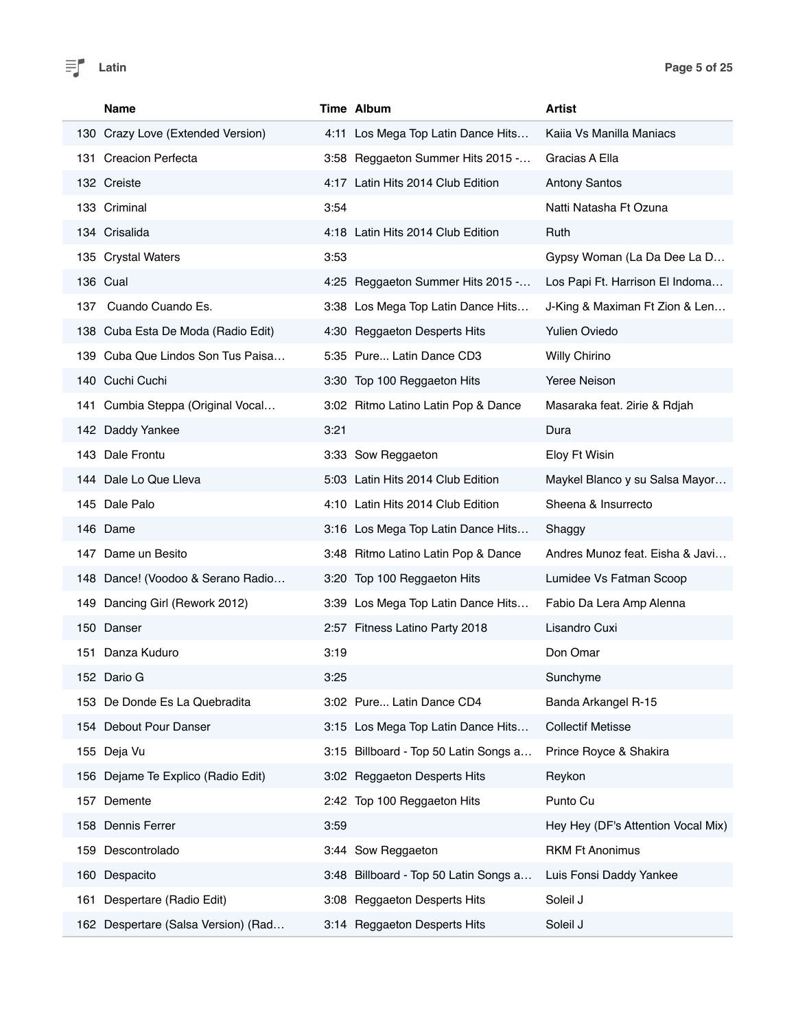

|      | <b>Name</b>                         |      | Time Album                            | Artist                             |
|------|-------------------------------------|------|---------------------------------------|------------------------------------|
|      | 130 Crazy Love (Extended Version)   |      | 4:11 Los Mega Top Latin Dance Hits    | Kaiia Vs Manilla Maniacs           |
| 131  | <b>Creacion Perfecta</b>            |      | 3:58 Reggaeton Summer Hits 2015 -     | Gracias A Ella                     |
|      | 132 Creiste                         |      | 4:17 Latin Hits 2014 Club Edition     | <b>Antony Santos</b>               |
|      | 133 Criminal                        | 3:54 |                                       | Natti Natasha Ft Ozuna             |
|      | 134 Crisalida                       |      | 4:18 Latin Hits 2014 Club Edition     | Ruth                               |
|      | 135 Crystal Waters                  | 3:53 |                                       | Gypsy Woman (La Da Dee La D        |
|      | 136 Cual                            |      | 4:25 Reggaeton Summer Hits 2015 -     | Los Papi Ft. Harrison El Indoma    |
| 137  | Cuando Cuando Es.                   |      | 3:38 Los Mega Top Latin Dance Hits    | J-King & Maximan Ft Zion & Len     |
|      | 138 Cuba Esta De Moda (Radio Edit)  |      | 4:30 Reggaeton Desperts Hits          | <b>Yulien Oviedo</b>               |
| 139. | Cuba Que Lindos Son Tus Paisa       |      | 5:35 Pure Latin Dance CD3             | Willy Chirino                      |
|      | 140 Cuchi Cuchi                     |      | 3:30 Top 100 Reggaeton Hits           | Yeree Neison                       |
| 141  | Cumbia Steppa (Original Vocal       |      | 3:02 Ritmo Latino Latin Pop & Dance   | Masaraka feat. 2irie & Rdjah       |
|      | 142 Daddy Yankee                    | 3:21 |                                       | Dura                               |
|      | 143 Dale Frontu                     |      | 3:33 Sow Reggaeton                    | Eloy Ft Wisin                      |
|      | 144 Dale Lo Que Lleva               |      | 5:03 Latin Hits 2014 Club Edition     | Maykel Blanco y su Salsa Mayor     |
|      | 145 Dale Palo                       |      | 4:10 Latin Hits 2014 Club Edition     | Sheena & Insurrecto                |
|      | 146 Dame                            |      | 3:16 Los Mega Top Latin Dance Hits    | Shaggy                             |
|      | 147 Dame un Besito                  |      | 3:48 Ritmo Latino Latin Pop & Dance   | Andres Munoz feat. Eisha & Javi    |
|      | 148 Dance! (Voodoo & Serano Radio   |      | 3:20 Top 100 Reggaeton Hits           | Lumidee Vs Fatman Scoop            |
| 149  | Dancing Girl (Rework 2012)          | 3:39 | Los Mega Top Latin Dance Hits         | Fabio Da Lera Amp Alenna           |
|      | 150 Danser                          |      | 2:57 Fitness Latino Party 2018        | Lisandro Cuxi                      |
| 151  | Danza Kuduro                        | 3:19 |                                       | Don Omar                           |
|      | 152 Dario G                         | 3:25 |                                       | Sunchyme                           |
|      | 153 De Donde Es La Quebradita       |      | 3:02 Pure Latin Dance CD4             | Banda Arkangel R-15                |
|      | 154 Debout Pour Danser              |      | 3:15 Los Mega Top Latin Dance Hits    | <b>Collectif Metisse</b>           |
|      | 155 Deja Vu                         |      | 3:15 Billboard - Top 50 Latin Songs a | Prince Royce & Shakira             |
|      | 156 Dejame Te Explico (Radio Edit)  |      | 3:02 Reggaeton Desperts Hits          | Reykon                             |
| 157  | Demente                             |      | 2:42 Top 100 Reggaeton Hits           | Punto Cu                           |
|      | 158 Dennis Ferrer                   | 3:59 |                                       | Hey Hey (DF's Attention Vocal Mix) |
|      | 159 Descontrolado                   |      | 3:44 Sow Reggaeton                    | <b>RKM Ft Anonimus</b>             |
|      | 160 Despacito                       |      | 3:48 Billboard - Top 50 Latin Songs a | Luis Fonsi Daddy Yankee            |
| 161  | Despertare (Radio Edit)             |      | 3:08 Reggaeton Desperts Hits          | Soleil J                           |
|      | 162 Despertare (Salsa Version) (Rad |      | 3:14 Reggaeton Desperts Hits          | Soleil J                           |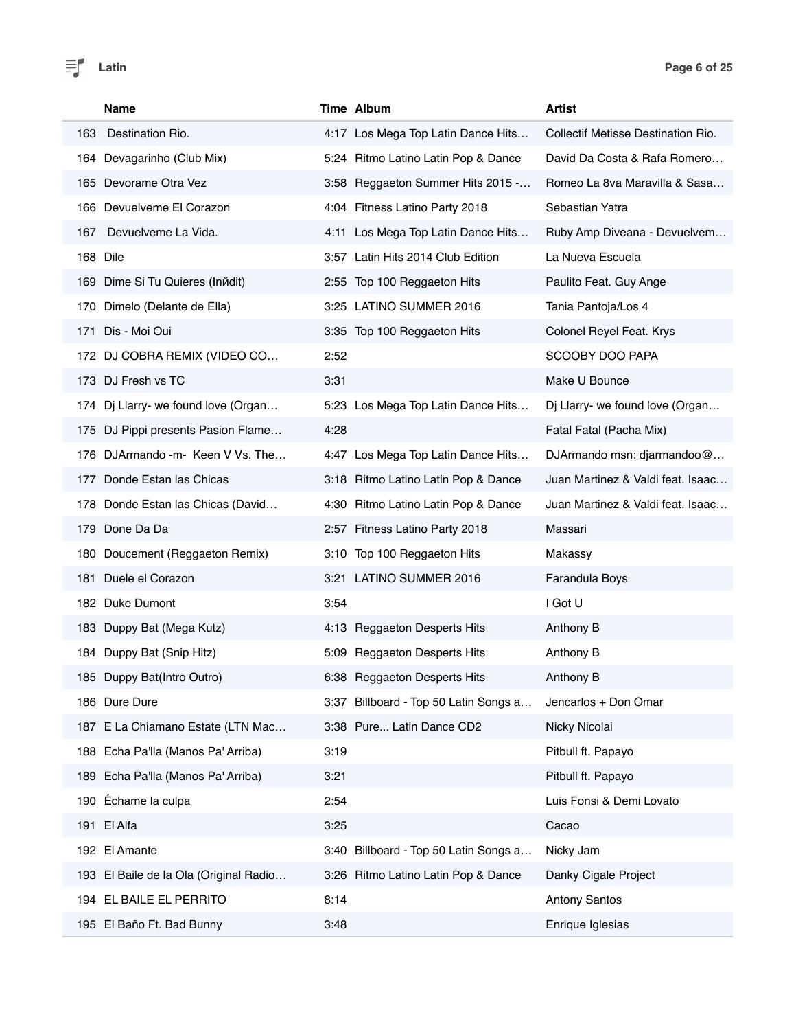|     | <b>Name</b>                            |      | Time Album                            | Artist                             |
|-----|----------------------------------------|------|---------------------------------------|------------------------------------|
| 163 | Destination Rio.                       |      | 4:17 Los Mega Top Latin Dance Hits    | Collectif Metisse Destination Rio. |
|     | 164 Devagarinho (Club Mix)             |      | 5:24 Ritmo Latino Latin Pop & Dance   | David Da Costa & Rafa Romero       |
|     | 165 Devorame Otra Vez                  |      | 3:58 Reggaeton Summer Hits 2015 -     | Romeo La 8va Maravilla & Sasa      |
|     | 166 Devuelveme El Corazon              |      | 4:04 Fitness Latino Party 2018        | Sebastian Yatra                    |
| 167 | Devuelveme La Vida.                    |      | 4:11 Los Mega Top Latin Dance Hits    | Ruby Amp Diveana - Devuelvem       |
|     | 168 Dile                               |      | 3:57 Latin Hits 2014 Club Edition     | La Nueva Escuela                   |
|     | 169 Dime Si Tu Quieres (Inndit)        |      | 2:55 Top 100 Reggaeton Hits           | Paulito Feat. Guy Ange             |
|     | 170 Dimelo (Delante de Ella)           |      | 3:25 LATINO SUMMER 2016               | Tania Pantoja/Los 4                |
| 171 | Dis - Moi Oui                          |      | 3:35 Top 100 Reggaeton Hits           | Colonel Reyel Feat. Krys           |
| 172 | DJ COBRA REMIX (VIDEO CO               | 2:52 |                                       | SCOOBY DOO PAPA                    |
|     | 173 DJ Fresh vs TC                     | 3:31 |                                       | Make U Bounce                      |
| 174 | Dj Llarry- we found love (Organ        |      | 5:23 Los Mega Top Latin Dance Hits    | Dj Llarry- we found love (Organ    |
|     | 175 DJ Pippi presents Pasion Flame     | 4:28 |                                       | Fatal Fatal (Pacha Mix)            |
|     | 176 DJArmando - m- Keen V Vs. The      |      | 4:47 Los Mega Top Latin Dance Hits    | DJArmando msn: djarmandoo@         |
| 177 | Donde Estan las Chicas                 |      | 3:18 Ritmo Latino Latin Pop & Dance   | Juan Martinez & Valdi feat. Isaac  |
| 178 | Donde Estan las Chicas (David          |      | 4:30 Ritmo Latino Latin Pop & Dance   | Juan Martinez & Valdi feat. Isaac  |
|     | 179 Done Da Da                         |      | 2:57 Fitness Latino Party 2018        | Massari                            |
|     | 180 Doucement (Reggaeton Remix)        |      | 3:10 Top 100 Reggaeton Hits           | Makassy                            |
|     | 181 Duele el Corazon                   |      | 3:21 LATINO SUMMER 2016               | Farandula Boys                     |
|     | 182 Duke Dumont                        | 3:54 |                                       | I Got U                            |
|     | 183 Duppy Bat (Mega Kutz)              |      | 4:13 Reggaeton Desperts Hits          | Anthony B                          |
|     | 184 Duppy Bat (Snip Hitz)              |      | 5:09 Reggaeton Desperts Hits          | Anthony B                          |
|     | 185 Duppy Bat(Intro Outro)             |      | 6:38 Reggaeton Desperts Hits          | Anthony B                          |
|     | 186 Dure Dure                          |      | 3:37 Billboard - Top 50 Latin Songs a | Jencarlos + Don Omar               |
|     | 187 E La Chiamano Estate (LTN Mac      |      | 3:38 Pure Latin Dance CD2             | Nicky Nicolai                      |
|     | 188 Echa Pa'lla (Manos Pa' Arriba)     | 3:19 |                                       | Pitbull ft. Papayo                 |
|     | 189 Echa Pa'lla (Manos Pa' Arriba)     | 3:21 |                                       | Pitbull ft. Papayo                 |
| 190 | Échame la culpa                        | 2:54 |                                       | Luis Fonsi & Demi Lovato           |
|     | 191 El Alfa                            | 3:25 |                                       | Cacao                              |
|     | 192 El Amante                          |      | 3:40 Billboard - Top 50 Latin Songs a | Nicky Jam                          |
|     | 193 El Baile de la Ola (Original Radio |      | 3:26 Ritmo Latino Latin Pop & Dance   | Danky Cigale Project               |
|     | 194 EL BAILE EL PERRITO                | 8:14 |                                       | <b>Antony Santos</b>               |
|     | 195 El Baño Ft. Bad Bunny              | 3:48 |                                       | Enrique Iglesias                   |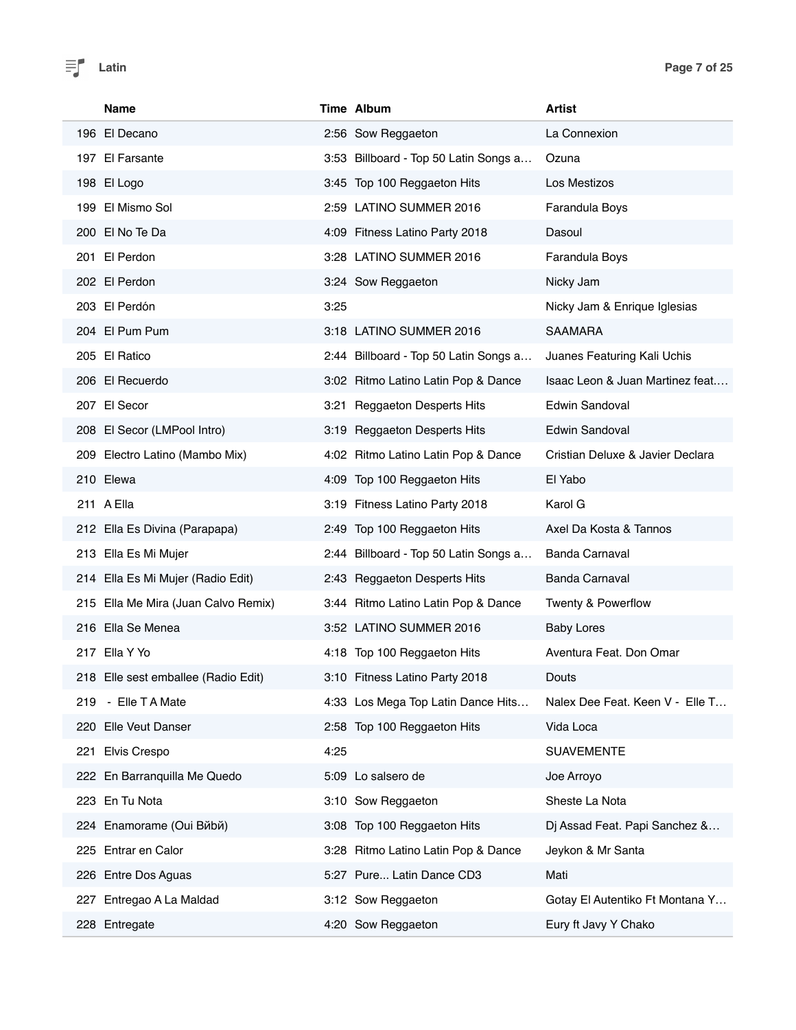| Name                                | Time Album                            | <b>Artist</b>                    |
|-------------------------------------|---------------------------------------|----------------------------------|
| 196 El Decano                       | 2:56 Sow Reggaeton                    | La Connexion                     |
| 197 El Farsante                     | 3:53 Billboard - Top 50 Latin Songs a | Ozuna                            |
| 198 El Logo                         | 3:45 Top 100 Reggaeton Hits           | Los Mestizos                     |
| 199 El Mismo Sol                    | 2:59 LATINO SUMMER 2016               | Farandula Boys                   |
| 200 El No Te Da                     | 4:09 Fitness Latino Party 2018        | Dasoul                           |
| 201 El Perdon                       | 3:28 LATINO SUMMER 2016               | Farandula Boys                   |
| 202 El Perdon                       | 3:24 Sow Reggaeton                    | Nicky Jam                        |
| 203 El Perdón                       | 3:25                                  | Nicky Jam & Enrique Iglesias     |
| 204 El Pum Pum                      | 3:18 LATINO SUMMER 2016               | <b>SAAMARA</b>                   |
| 205 El Ratico                       | 2:44 Billboard - Top 50 Latin Songs a | Juanes Featuring Kali Uchis      |
| 206 El Recuerdo                     | 3:02 Ritmo Latino Latin Pop & Dance   | Isaac Leon & Juan Martinez feat  |
| 207 El Secor                        | 3:21 Reggaeton Desperts Hits          | Edwin Sandoval                   |
| 208 El Secor (LMPool Intro)         | 3:19 Reggaeton Desperts Hits          | Edwin Sandoval                   |
| 209 Electro Latino (Mambo Mix)      | 4:02 Ritmo Latino Latin Pop & Dance   | Cristian Deluxe & Javier Declara |
| 210 Elewa                           | 4:09 Top 100 Reggaeton Hits           | El Yabo                          |
| 211 A Ella                          | 3:19 Fitness Latino Party 2018        | Karol G                          |
| 212 Ella Es Divina (Parapapa)       | 2:49 Top 100 Reggaeton Hits           | Axel Da Kosta & Tannos           |
| 213 Ella Es Mi Mujer                | 2:44 Billboard - Top 50 Latin Songs a | <b>Banda Carnaval</b>            |
| 214 Ella Es Mi Mujer (Radio Edit)   | 2:43 Reggaeton Desperts Hits          | <b>Banda Carnaval</b>            |
| 215 Ella Me Mira (Juan Calvo Remix) | 3:44 Ritmo Latino Latin Pop & Dance   | Twenty & Powerflow               |
| 216 Ella Se Menea                   | 3:52 LATINO SUMMER 2016               | <b>Baby Lores</b>                |
| 217 Ella Y Yo                       | 4:18 Top 100 Reggaeton Hits           | Aventura Feat, Don Omar          |
| 218 Elle sest emballee (Radio Edit) | 3:10 Fitness Latino Party 2018        | Douts                            |
| - Elle T A Mate<br>219              | 4:33 Los Mega Top Latin Dance Hits    | Nalex Dee Feat. Keen V - Elle T  |
| 220 Elle Veut Danser                | 2:58 Top 100 Reggaeton Hits           | Vida Loca                        |
| Elvis Crespo<br>221                 | 4:25                                  | <b>SUAVEMENTE</b>                |
| 222 En Barranquilla Me Quedo        | 5:09 Lo salsero de                    | Joe Arroyo                       |
| 223 En Tu Nota                      | 3:10 Sow Reggaeton                    | Sheste La Nota                   |
| 224 Enamorame (Oui Bйbй)            | 3:08 Top 100 Reggaeton Hits           | Dj Assad Feat. Papi Sanchez &    |
| 225 Entrar en Calor                 | 3:28 Ritmo Latino Latin Pop & Dance   | Jeykon & Mr Santa                |
| 226 Entre Dos Aguas                 | 5:27 Pure Latin Dance CD3             | Mati                             |
| 227 Entregao A La Maldad            | 3:12 Sow Reggaeton                    | Gotay El Autentiko Ft Montana Y  |
| 228 Entregate                       | 4:20 Sow Reggaeton                    | Eury ft Javy Y Chako             |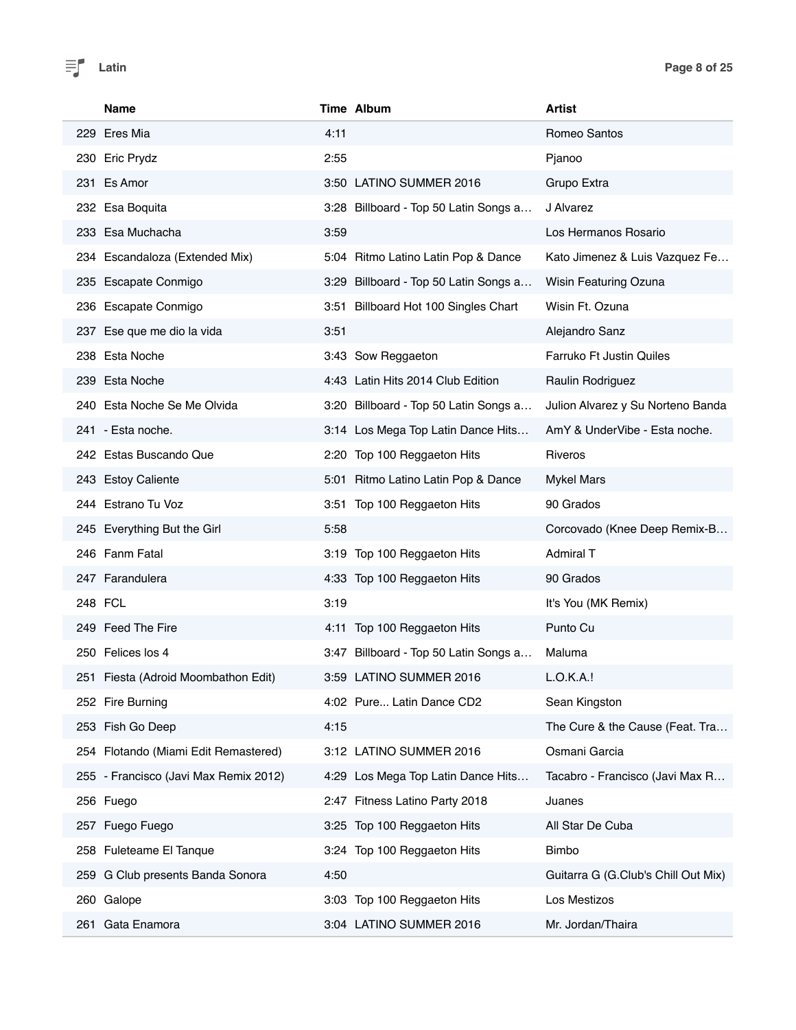| <b>Name</b>                           | Time Album                            | <b>Artist</b>                       |
|---------------------------------------|---------------------------------------|-------------------------------------|
| 229 Eres Mia                          | 4:11                                  | Romeo Santos                        |
| 230 Eric Prydz                        | 2:55                                  | Pjanoo                              |
| 231 Es Amor                           | 3:50 LATINO SUMMER 2016               | Grupo Extra                         |
| 232 Esa Boquita                       | 3:28 Billboard - Top 50 Latin Songs a | J Alvarez                           |
| 233 Esa Muchacha                      | 3:59                                  | Los Hermanos Rosario                |
| 234 Escandaloza (Extended Mix)        | 5:04 Ritmo Latino Latin Pop & Dance   | Kato Jimenez & Luis Vazquez Fe      |
| 235 Escapate Conmigo                  | 3:29 Billboard - Top 50 Latin Songs a | Wisin Featuring Ozuna               |
| 236 Escapate Conmigo                  | 3:51 Billboard Hot 100 Singles Chart  | Wisin Ft. Ozuna                     |
| 237 Ese que me dio la vida            | 3:51                                  | Alejandro Sanz                      |
| 238 Esta Noche                        | 3:43 Sow Reggaeton                    | <b>Farruko Ft Justin Quiles</b>     |
| 239 Esta Noche                        | 4:43 Latin Hits 2014 Club Edition     | Raulin Rodriguez                    |
| 240 Esta Noche Se Me Olvida           | 3:20 Billboard - Top 50 Latin Songs a | Julion Alvarez y Su Norteno Banda   |
| 241 - Esta noche.                     | 3:14 Los Mega Top Latin Dance Hits    | AmY & UnderVibe - Esta noche.       |
| 242 Estas Buscando Que                | 2:20 Top 100 Reggaeton Hits           | Riveros                             |
| 243 Estoy Caliente                    | 5:01 Ritmo Latino Latin Pop & Dance   | <b>Mykel Mars</b>                   |
| 244 Estrano Tu Voz                    | 3:51 Top 100 Reggaeton Hits           | 90 Grados                           |
| 245 Everything But the Girl           | 5:58                                  | Corcovado (Knee Deep Remix-B        |
| 246 Fanm Fatal                        | 3:19 Top 100 Reggaeton Hits           | Admiral T                           |
| 247 Farandulera                       | 4:33 Top 100 Reggaeton Hits           | 90 Grados                           |
| 248 FCL                               | 3:19                                  | It's You (MK Remix)                 |
| 249 Feed The Fire                     | 4:11 Top 100 Reggaeton Hits           | Punto Cu                            |
| 250 Felices los 4                     | 3:47 Billboard - Top 50 Latin Songs a | Maluma                              |
| 251 Fiesta (Adroid Moombathon Edit)   | 3:59 LATINO SUMMER 2016               | L.O.K.A.!                           |
| 252 Fire Burning                      | 4:02 Pure Latin Dance CD2             | Sean Kingston                       |
| 253 Fish Go Deep                      | 4:15                                  | The Cure & the Cause (Feat. Tra     |
| 254 Flotando (Miami Edit Remastered)  | 3:12 LATINO SUMMER 2016               | Osmani Garcia                       |
| 255 - Francisco (Javi Max Remix 2012) | 4:29 Los Mega Top Latin Dance Hits    | Tacabro - Francisco (Javi Max R     |
| 256 Fuego                             | 2:47 Fitness Latino Party 2018        | Juanes                              |
| 257 Fuego Fuego                       | 3:25 Top 100 Reggaeton Hits           | All Star De Cuba                    |
| 258 Fuleteame El Tanque               | 3:24 Top 100 Reggaeton Hits           | <b>Bimbo</b>                        |
| 259 G Club presents Banda Sonora      | 4:50                                  | Guitarra G (G.Club's Chill Out Mix) |
| 260 Galope                            | 3:03 Top 100 Reggaeton Hits           | Los Mestizos                        |
| Gata Enamora<br>261                   | 3:04 LATINO SUMMER 2016               | Mr. Jordan/Thaira                   |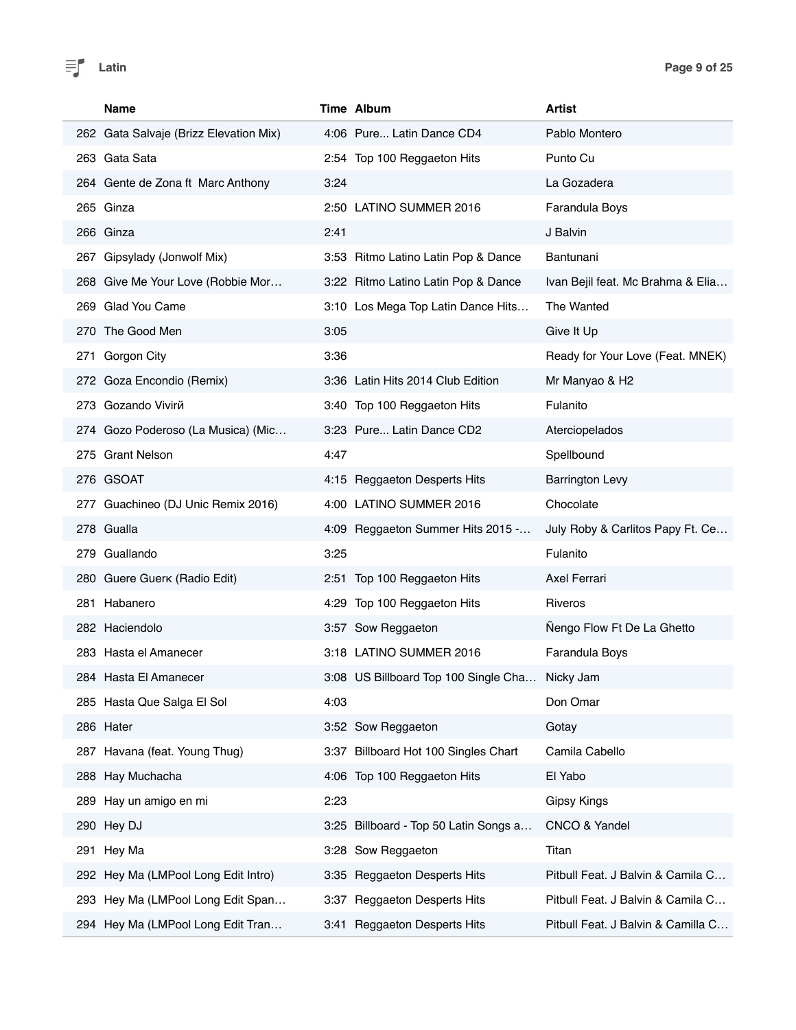

| <b>Name</b>                            | Time Album                            | <b>Artist</b>                      |
|----------------------------------------|---------------------------------------|------------------------------------|
| 262 Gata Salvaje (Brizz Elevation Mix) | 4:06 Pure Latin Dance CD4             | Pablo Montero                      |
| 263 Gata Sata                          | 2:54 Top 100 Reggaeton Hits           | Punto Cu                           |
| 264 Gente de Zona ft Marc Anthony      | 3:24                                  | La Gozadera                        |
| 265 Ginza                              | 2:50 LATINO SUMMER 2016               | Farandula Boys                     |
| 266 Ginza                              | 2:41                                  | J Balvin                           |
| 267 Gipsylady (Jonwolf Mix)            | 3:53 Ritmo Latino Latin Pop & Dance   | Bantunani                          |
| 268 Give Me Your Love (Robbie Mor      | 3:22 Ritmo Latino Latin Pop & Dance   | Ivan Bejil feat. Mc Brahma & Elia  |
| 269 Glad You Came                      | 3:10 Los Mega Top Latin Dance Hits    | The Wanted                         |
| 270 The Good Men                       | 3:05                                  | Give It Up                         |
| 271 Gorgon City                        | 3:36                                  | Ready for Your Love (Feat. MNEK)   |
| 272 Goza Encondio (Remix)              | 3:36 Latin Hits 2014 Club Edition     | Mr Manyao & H2                     |
| 273 Gozando Vivirй                     | 3:40 Top 100 Reggaeton Hits           | Fulanito                           |
| 274 Gozo Poderoso (La Musica) (Mic     | 3:23 Pure Latin Dance CD2             | Aterciopelados                     |
| 275 Grant Nelson                       | 4:47                                  | Spellbound                         |
| 276 GSOAT                              | 4:15 Reggaeton Desperts Hits          | <b>Barrington Levy</b>             |
| 277 Guachineo (DJ Unic Remix 2016)     | 4:00 LATINO SUMMER 2016               | Chocolate                          |
| 278 Gualla                             | 4:09 Reggaeton Summer Hits 2015 -     | July Roby & Carlitos Papy Ft. Ce   |
| 279 Guallando                          | 3:25                                  | Fulanito                           |
| 280 Guere Guerk (Radio Edit)           | 2:51 Top 100 Reggaeton Hits           | Axel Ferrari                       |
| 281 Habanero                           | 4:29 Top 100 Reggaeton Hits           | <b>Riveros</b>                     |
| 282 Haciendolo                         | 3:57 Sow Reggaeton                    | Nengo Flow Ft De La Ghetto         |
| 283 Hasta el Amanecer                  | 3:18 LATINO SUMMER 2016               | Farandula Boys                     |
| 284 Hasta El Amanecer                  | 3:08 US Billboard Top 100 Single Cha  | Nicky Jam                          |
| 285 Hasta Que Salga El Sol             | 4:03                                  | Don Omar                           |
| 286 Hater                              | 3:52 Sow Reggaeton                    | Gotay                              |
| 287 Havana (feat. Young Thug)          | 3:37 Billboard Hot 100 Singles Chart  | Camila Cabello                     |
| 288 Hay Muchacha                       | 4:06 Top 100 Reggaeton Hits           | El Yabo                            |
| 289 Hay un amigo en mi                 | 2:23                                  | <b>Gipsy Kings</b>                 |
| 290 Hey DJ                             | 3:25 Billboard - Top 50 Latin Songs a | CNCO & Yandel                      |
| 291 Hey Ma                             | 3:28 Sow Reggaeton                    | Titan                              |
| 292 Hey Ma (LMPool Long Edit Intro)    | 3:35 Reggaeton Desperts Hits          | Pitbull Feat. J Balvin & Camila C  |
| 293 Hey Ma (LMPool Long Edit Span      | 3:37 Reggaeton Desperts Hits          | Pitbull Feat. J Balvin & Camila C  |
| 294 Hey Ma (LMPool Long Edit Tran      | 3:41 Reggaeton Desperts Hits          | Pitbull Feat. J Balvin & Camilla C |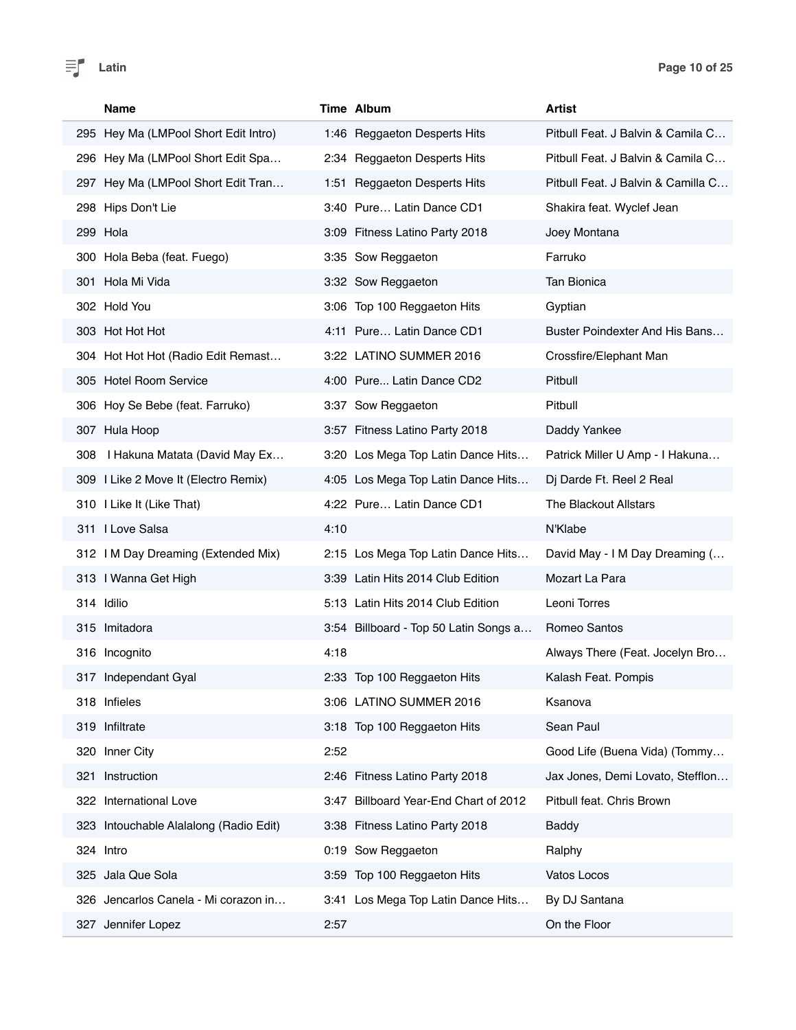

| <b>Name</b>                            | Time Album                            | Artist                             |
|----------------------------------------|---------------------------------------|------------------------------------|
| 295 Hey Ma (LMPool Short Edit Intro)   | 1:46 Reggaeton Desperts Hits          | Pitbull Feat. J Balvin & Camila C  |
| 296 Hey Ma (LMPool Short Edit Spa      | 2:34 Reggaeton Desperts Hits          | Pitbull Feat. J Balvin & Camila C  |
| 297 Hey Ma (LMPool Short Edit Tran     | 1:51 Reggaeton Desperts Hits          | Pitbull Feat. J Balvin & Camilla C |
| 298 Hips Don't Lie                     | 3:40 Pure Latin Dance CD1             | Shakira feat. Wyclef Jean          |
| 299 Hola                               | 3:09 Fitness Latino Party 2018        | Joey Montana                       |
| 300 Hola Beba (feat. Fuego)            | 3:35 Sow Reggaeton                    | Farruko                            |
| 301 Hola Mi Vida                       | 3:32 Sow Reggaeton                    | <b>Tan Bionica</b>                 |
| 302 Hold You                           | 3:06 Top 100 Reggaeton Hits           | Gyptian                            |
| 303 Hot Hot Hot                        | 4:11 Pure Latin Dance CD1             | Buster Poindexter And His Bans     |
| 304 Hot Hot Hot (Radio Edit Remast     | 3:22 LATINO SUMMER 2016               | Crossfire/Elephant Man             |
| 305 Hotel Room Service                 | 4:00 Pure Latin Dance CD2             | Pitbull                            |
| 306 Hoy Se Bebe (feat. Farruko)        | 3:37 Sow Reggaeton                    | Pitbull                            |
| 307 Hula Hoop                          | 3:57 Fitness Latino Party 2018        | Daddy Yankee                       |
| I Hakuna Matata (David May Ex<br>308   | 3:20 Los Mega Top Latin Dance Hits    | Patrick Miller U Amp - I Hakuna    |
| 309 I Like 2 Move It (Electro Remix)   | 4:05 Los Mega Top Latin Dance Hits    | Dj Darde Ft. Reel 2 Real           |
| 310 I Like It (Like That)              | 4:22 Pure Latin Dance CD1             | The Blackout Allstars              |
| 311 I Love Salsa                       | 4:10                                  | N'Klabe                            |
| 312 I M Day Dreaming (Extended Mix)    | 2:15 Los Mega Top Latin Dance Hits    | David May - I M Day Dreaming (     |
| 313 I Wanna Get High                   | 3:39 Latin Hits 2014 Club Edition     | Mozart La Para                     |
| 314 Idilio                             | 5:13 Latin Hits 2014 Club Edition     | Leoni Torres                       |
| 315 Imitadora                          | 3:54 Billboard - Top 50 Latin Songs a | Romeo Santos                       |
| 316 Incognito                          | 4:18                                  | Always There (Feat. Jocelyn Bro    |
| 317 Independant Gyal                   | 2:33 Top 100 Reggaeton Hits           | Kalash Feat. Pompis                |
| 318 Infieles                           | 3:06 LATINO SUMMER 2016               | Ksanova                            |
| 319 Infiltrate                         | 3:18 Top 100 Reggaeton Hits           | Sean Paul                          |
| Inner City<br>320                      | 2:52                                  | Good Life (Buena Vida) (Tommy      |
| Instruction<br>321                     | 2:46 Fitness Latino Party 2018        | Jax Jones, Demi Lovato, Stefflon   |
| 322 International Love                 | 3:47 Billboard Year-End Chart of 2012 | Pitbull feat. Chris Brown          |
| 323 Intouchable Alalalong (Radio Edit) | 3:38 Fitness Latino Party 2018        | <b>Baddy</b>                       |
| 324 Intro                              | 0:19 Sow Reggaeton                    | Ralphy                             |
| 325 Jala Que Sola                      | 3:59 Top 100 Reggaeton Hits           | Vatos Locos                        |
| 326 Jencarlos Canela - Mi corazon in   | 3:41 Los Mega Top Latin Dance Hits    | By DJ Santana                      |
| 327 Jennifer Lopez                     | 2:57                                  | On the Floor                       |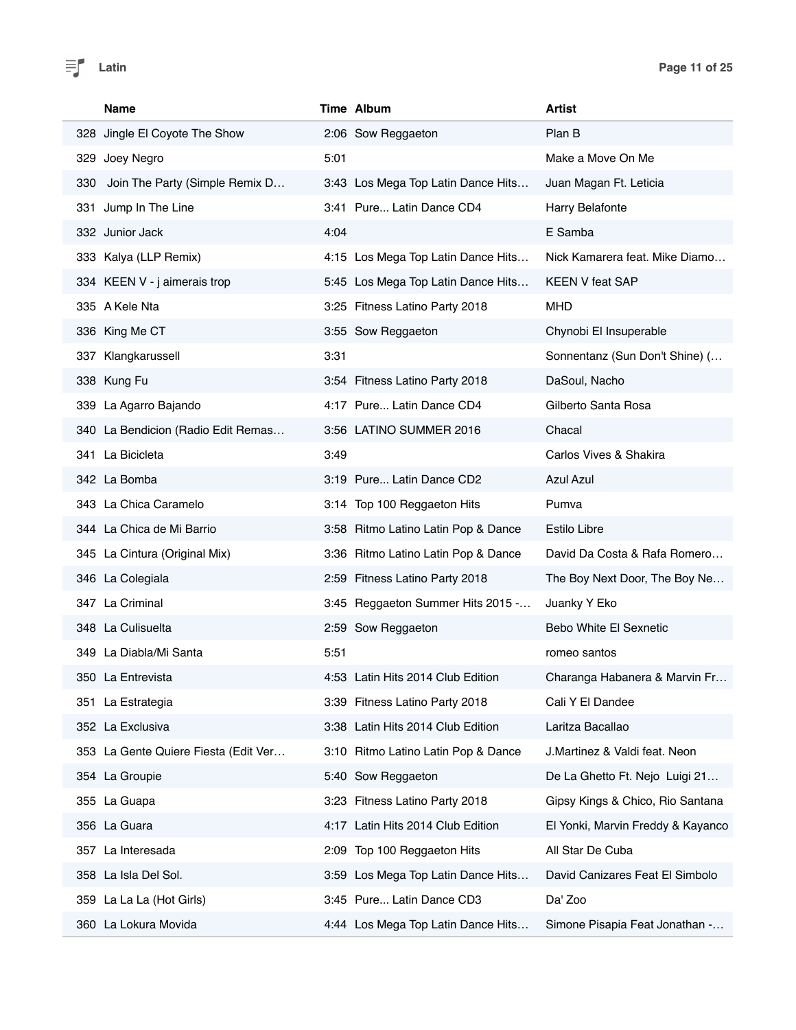

|     | <b>Name</b>                          |      | Time Album                          | <b>Artist</b>                     |
|-----|--------------------------------------|------|-------------------------------------|-----------------------------------|
|     | 328 Jingle El Coyote The Show        |      | 2:06 Sow Reggaeton                  | Plan B                            |
|     | 329 Joey Negro                       | 5:01 |                                     | Make a Move On Me                 |
| 330 | Join The Party (Simple Remix D       |      | 3:43 Los Mega Top Latin Dance Hits  | Juan Magan Ft. Leticia            |
|     | 331 Jump In The Line                 |      | 3:41 Pure Latin Dance CD4           | Harry Belafonte                   |
|     | 332 Junior Jack                      | 4:04 |                                     | E Samba                           |
|     | 333 Kalya (LLP Remix)                |      | 4:15 Los Mega Top Latin Dance Hits  | Nick Kamarera feat. Mike Diamo    |
|     | 334 KEEN V - j aimerais trop         |      | 5:45 Los Mega Top Latin Dance Hits  | <b>KEEN V feat SAP</b>            |
|     | 335 A Kele Nta                       |      | 3:25 Fitness Latino Party 2018      | <b>MHD</b>                        |
|     | 336 King Me CT                       |      | 3:55 Sow Reggaeton                  | Chynobi El Insuperable            |
|     | 337 Klangkarussell                   | 3:31 |                                     | Sonnentanz (Sun Don't Shine) (    |
|     | 338 Kung Fu                          |      | 3:54 Fitness Latino Party 2018      | DaSoul, Nacho                     |
|     | 339 La Agarro Bajando                |      | 4:17 Pure Latin Dance CD4           | Gilberto Santa Rosa               |
|     | 340 La Bendicion (Radio Edit Remas   |      | 3:56 LATINO SUMMER 2016             | Chacal                            |
|     | 341 La Bicicleta                     | 3:49 |                                     | Carlos Vives & Shakira            |
|     | 342 La Bomba                         |      | 3:19 Pure Latin Dance CD2           | <b>Azul Azul</b>                  |
|     | 343 La Chica Caramelo                |      | 3:14 Top 100 Reggaeton Hits         | Pumva                             |
|     | 344 La Chica de Mi Barrio            |      | 3:58 Ritmo Latino Latin Pop & Dance | <b>Estilo Libre</b>               |
|     | 345 La Cintura (Original Mix)        |      | 3:36 Ritmo Latino Latin Pop & Dance | David Da Costa & Rafa Romero      |
|     | 346 La Colegiala                     |      | 2:59 Fitness Latino Party 2018      | The Boy Next Door, The Boy Ne     |
|     | 347 La Criminal                      |      | 3:45 Reggaeton Summer Hits 2015 -   | Juanky Y Eko                      |
|     | 348 La Culisuelta                    |      | 2:59 Sow Reggaeton                  | Bebo White El Sexnetic            |
|     | 349 La Diabla/Mi Santa               | 5:51 |                                     | romeo santos                      |
|     | 350 La Entrevista                    |      | 4:53 Latin Hits 2014 Club Edition   | Charanga Habanera & Marvin Fr     |
|     | 351 La Estrategia                    |      | 3:39 Fitness Latino Party 2018      | Cali Y El Dandee                  |
|     | 352 La Exclusiva                     |      | 3:38 Latin Hits 2014 Club Edition   | Laritza Bacallao                  |
|     | 353 La Gente Quiere Fiesta (Edit Ver | 3:10 | Ritmo Latino Latin Pop & Dance      | J.Martinez & Valdi feat. Neon     |
|     | 354 La Groupie                       | 5:40 | Sow Reggaeton                       | De La Ghetto Ft. Nejo Luigi 21    |
|     | 355 La Guapa                         |      | 3:23 Fitness Latino Party 2018      | Gipsy Kings & Chico, Rio Santana  |
|     | 356 La Guara                         |      | 4:17 Latin Hits 2014 Club Edition   | El Yonki, Marvin Freddy & Kayanco |
|     | 357 La Interesada                    | 2:09 | Top 100 Reggaeton Hits              | All Star De Cuba                  |
|     | 358 La Isla Del Sol.                 |      | 3:59 Los Mega Top Latin Dance Hits  | David Canizares Feat El Simbolo   |
|     | 359 La La La (Hot Girls)             |      | 3:45 Pure Latin Dance CD3           | Da' Zoo                           |
|     | 360 La Lokura Movida                 |      | 4:44 Los Mega Top Latin Dance Hits  | Simone Pisapia Feat Jonathan -    |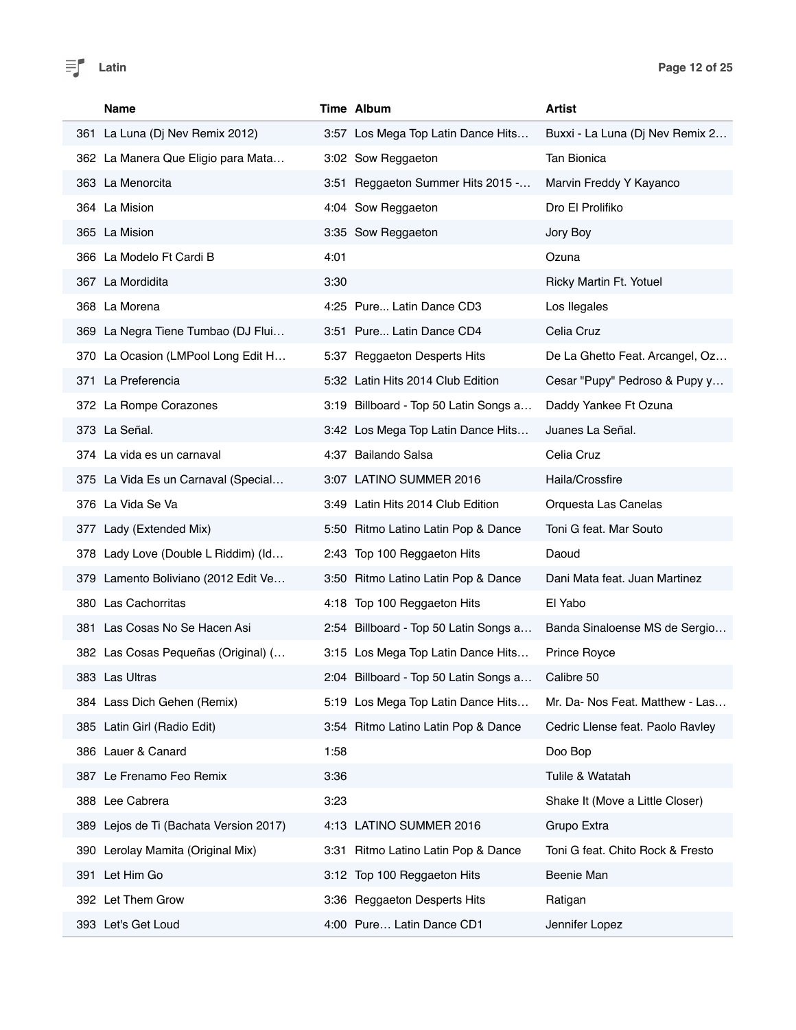

| <b>Name</b>                               | Time Album                             | Artist                           |
|-------------------------------------------|----------------------------------------|----------------------------------|
| 361 La Luna (Dj Nev Remix 2012)           | 3:57 Los Mega Top Latin Dance Hits     | Buxxi - La Luna (Dj Nev Remix 2  |
| 362 La Manera Que Eligio para Mata        | 3:02 Sow Reggaeton                     | Tan Bionica                      |
| 363 La Menorcita                          | 3:51 Reggaeton Summer Hits 2015 -      | Marvin Freddy Y Kayanco          |
| 364 La Mision                             | 4:04 Sow Reggaeton                     | Dro El Prolifiko                 |
| 365 La Mision                             | 3:35 Sow Reggaeton                     | Jory Boy                         |
| 366 La Modelo Ft Cardi B                  | 4:01                                   | Ozuna                            |
| 367 La Mordidita                          | 3:30                                   | Ricky Martin Ft. Yotuel          |
| 368 La Morena                             | 4:25 Pure Latin Dance CD3              | Los llegales                     |
| 369 La Negra Tiene Tumbao (DJ Flui        | 3:51 Pure Latin Dance CD4              | Celia Cruz                       |
| 370 La Ocasion (LMPool Long Edit H        | 5:37 Reggaeton Desperts Hits           | De La Ghetto Feat. Arcangel, Oz  |
| 371 La Preferencia                        | 5:32 Latin Hits 2014 Club Edition      | Cesar "Pupy" Pedroso & Pupy y    |
| 372 La Rompe Corazones                    | 3:19 Billboard - Top 50 Latin Songs a  | Daddy Yankee Ft Ozuna            |
| 373 La Señal.                             | 3:42 Los Mega Top Latin Dance Hits     | Juanes La Señal.                 |
| 374 La vida es un carnaval                | 4:37 Bailando Salsa                    | Celia Cruz                       |
| 375 La Vida Es un Carnaval (Special       | 3:07 LATINO SUMMER 2016                | Haila/Crossfire                  |
| 376 La Vida Se Va                         | 3:49 Latin Hits 2014 Club Edition      | Orquesta Las Canelas             |
| 377 Lady (Extended Mix)                   | 5:50 Ritmo Latino Latin Pop & Dance    | Toni G feat. Mar Souto           |
| 378 Lady Love (Double L Riddim) (Id       | 2:43 Top 100 Reggaeton Hits            | Daoud                            |
| 379 Lamento Boliviano (2012 Edit Ve       | 3:50 Ritmo Latino Latin Pop & Dance    | Dani Mata feat. Juan Martinez    |
| 380 Las Cachorritas                       | 4:18 Top 100 Reggaeton Hits            | El Yabo                          |
| 381 Las Cosas No Se Hacen Asi             | 2:54 Billboard - Top 50 Latin Songs a  | Banda Sinaloense MS de Sergio    |
| 382 Las Cosas Pequeñas (Original) (       | 3:15 Los Mega Top Latin Dance Hits     | Prince Royce                     |
| 383 Las Ultras                            | 2:04 Billboard - Top 50 Latin Songs a  | Calibre 50                       |
| 384 Lass Dich Gehen (Remix)               | 5:19 Los Mega Top Latin Dance Hits     | Mr. Da- Nos Feat. Matthew - Las  |
| 385 Latin Girl (Radio Edit)               | 3:54 Ritmo Latino Latin Pop & Dance    | Cedric Llense feat. Paolo Ravley |
| 386 Lauer & Canard                        | 1:58                                   | Doo Bop                          |
| 387 Le Frenamo Feo Remix                  | 3:36                                   | Tulile & Watatah                 |
| 388 Lee Cabrera                           | 3:23                                   | Shake It (Move a Little Closer)  |
| Lejos de Ti (Bachata Version 2017)<br>389 | 4:13 LATINO SUMMER 2016                | Grupo Extra                      |
| Lerolay Mamita (Original Mix)<br>390      | Ritmo Latino Latin Pop & Dance<br>3:31 | Toni G feat. Chito Rock & Fresto |
| Let Him Go<br>391                         | 3:12 Top 100 Reggaeton Hits            | Beenie Man                       |
| 392 Let Them Grow                         | 3:36 Reggaeton Desperts Hits           | Ratigan                          |
| 393 Let's Get Loud                        | 4:00 Pure Latin Dance CD1              | Jennifer Lopez                   |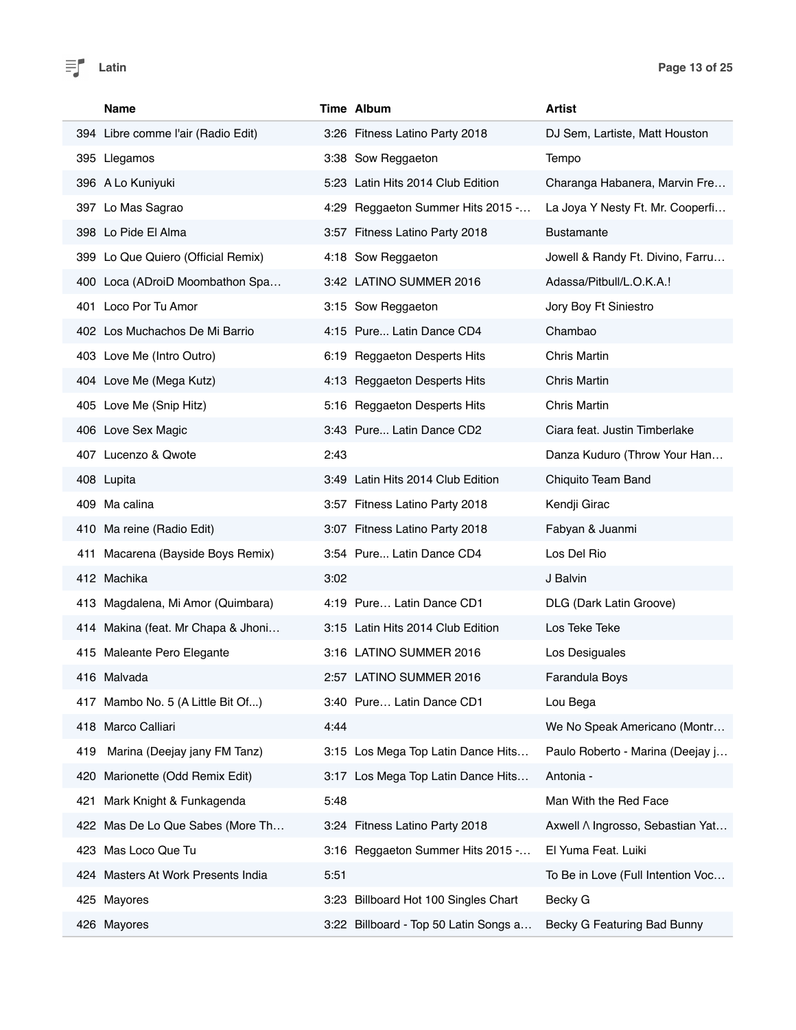Ī

| Name                                | Time Album                            | <b>Artist</b>                     |
|-------------------------------------|---------------------------------------|-----------------------------------|
| 394 Libre comme l'air (Radio Edit)  | 3:26 Fitness Latino Party 2018        | DJ Sem, Lartiste, Matt Houston    |
| 395 Llegamos                        | 3:38 Sow Reggaeton                    | Tempo                             |
| 396 A Lo Kuniyuki                   | 5:23 Latin Hits 2014 Club Edition     | Charanga Habanera, Marvin Fre     |
| 397 Lo Mas Sagrao                   | 4:29 Reggaeton Summer Hits 2015 -     | La Joya Y Nesty Ft. Mr. Cooperfi  |
| 398 Lo Pide El Alma                 | 3:57 Fitness Latino Party 2018        | Bustamante                        |
| 399 Lo Que Quiero (Official Remix)  | 4:18 Sow Reggaeton                    | Jowell & Randy Ft. Divino, Farru  |
| 400 Loca (ADroiD Moombathon Spa     | 3:42 LATINO SUMMER 2016               | Adassa/Pitbull/L.O.K.A.!          |
| 401 Loco Por Tu Amor                | 3:15 Sow Reggaeton                    | Jory Boy Ft Siniestro             |
| 402 Los Muchachos De Mi Barrio      | 4:15 Pure Latin Dance CD4             | Chambao                           |
| 403 Love Me (Intro Outro)           | 6:19 Reggaeton Desperts Hits          | <b>Chris Martin</b>               |
| 404 Love Me (Mega Kutz)             | 4:13 Reggaeton Desperts Hits          | <b>Chris Martin</b>               |
| 405 Love Me (Snip Hitz)             | 5:16 Reggaeton Desperts Hits          | <b>Chris Martin</b>               |
| 406 Love Sex Magic                  | 3:43 Pure Latin Dance CD2             | Ciara feat. Justin Timberlake     |
| 407 Lucenzo & Qwote                 | 2:43                                  | Danza Kuduro (Throw Your Han      |
| 408 Lupita                          | 3:49 Latin Hits 2014 Club Edition     | Chiquito Team Band                |
| 409 Ma calina                       | 3:57 Fitness Latino Party 2018        | Kendji Girac                      |
| 410 Ma reine (Radio Edit)           | 3:07 Fitness Latino Party 2018        | Fabyan & Juanmi                   |
| 411 Macarena (Bayside Boys Remix)   | 3:54 Pure Latin Dance CD4             | Los Del Rio                       |
| 412 Machika                         | 3:02                                  | J Balvin                          |
| 413 Magdalena, Mi Amor (Quimbara)   | 4:19 Pure Latin Dance CD1             | DLG (Dark Latin Groove)           |
| 414 Makina (feat. Mr Chapa & Jhoni  | 3:15 Latin Hits 2014 Club Edition     | Los Teke Teke                     |
| 415 Maleante Pero Elegante          | 3:16 LATINO SUMMER 2016               | Los Desiguales                    |
| 416 Malvada                         | 2:57 LATINO SUMMER 2016               | Farandula Boys                    |
| 417 Mambo No. 5 (A Little Bit Of)   | 3:40 Pure Latin Dance CD1             | Lou Bega                          |
| 418 Marco Calliari                  | 4:44                                  | We No Speak Americano (Montr      |
| Marina (Deejay jany FM Tanz)<br>419 | 3:15 Los Mega Top Latin Dance Hits    | Paulo Roberto - Marina (Deejay j  |
| Marionette (Odd Remix Edit)<br>420  | 3:17 Los Mega Top Latin Dance Hits    | Antonia -                         |
| Mark Knight & Funkagenda<br>421     | 5:48                                  | Man With the Red Face             |
| 422 Mas De Lo Que Sabes (More Th    | 3:24 Fitness Latino Party 2018        | Axwell A Ingrosso, Sebastian Yat  |
| 423 Mas Loco Que Tu                 | 3:16 Reggaeton Summer Hits 2015 -     | El Yuma Feat. Luiki               |
| 424 Masters At Work Presents India  | 5:51                                  | To Be in Love (Full Intention Voc |
| 425 Mayores                         | 3:23 Billboard Hot 100 Singles Chart  | Becky G                           |
| 426 Mayores                         | 3:22 Billboard - Top 50 Latin Songs a | Becky G Featuring Bad Bunny       |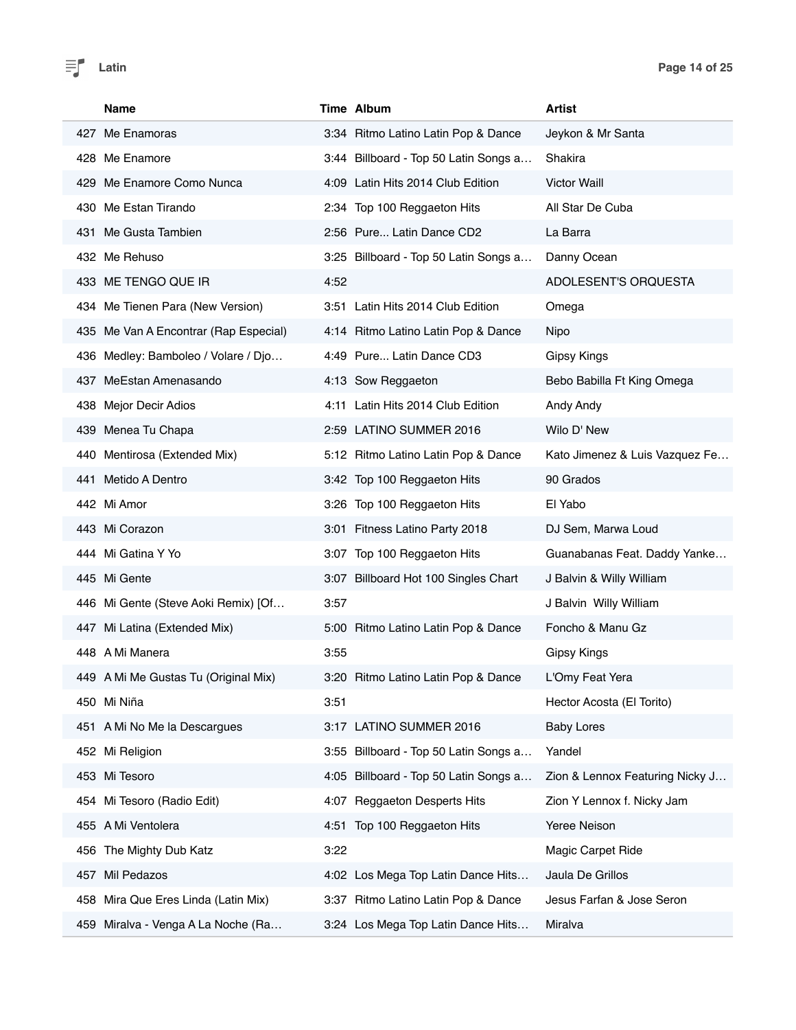| Name                                  | Time Album                            | Artist                          |
|---------------------------------------|---------------------------------------|---------------------------------|
| 427 Me Enamoras                       | 3:34 Ritmo Latino Latin Pop & Dance   | Jeykon & Mr Santa               |
| 428 Me Enamore                        | 3:44 Billboard - Top 50 Latin Songs a | Shakira                         |
| 429 Me Enamore Como Nunca             | 4:09 Latin Hits 2014 Club Edition     | <b>Victor Waill</b>             |
| 430 Me Estan Tirando                  | 2:34 Top 100 Reggaeton Hits           | All Star De Cuba                |
| 431 Me Gusta Tambien                  | 2:56 Pure Latin Dance CD2             | La Barra                        |
| 432 Me Rehuso                         | 3:25 Billboard - Top 50 Latin Songs a | Danny Ocean                     |
| 433 ME TENGO QUE IR                   | 4:52                                  | ADOLESENT'S ORQUESTA            |
| 434 Me Tienen Para (New Version)      | 3:51 Latin Hits 2014 Club Edition     | Omega                           |
| 435 Me Van A Encontrar (Rap Especial) | 4:14 Ritmo Latino Latin Pop & Dance   | Nipo                            |
| 436 Medley: Bamboleo / Volare / Djo   | 4:49 Pure Latin Dance CD3             | <b>Gipsy Kings</b>              |
| 437 MeEstan Amenasando                | 4:13 Sow Reggaeton                    | Bebo Babilla Ft King Omega      |
| 438 Mejor Decir Adios                 | 4:11 Latin Hits 2014 Club Edition     | Andy Andy                       |
| 439 Menea Tu Chapa                    | 2:59 LATINO SUMMER 2016               | Wilo D' New                     |
| 440 Mentirosa (Extended Mix)          | 5:12 Ritmo Latino Latin Pop & Dance   | Kato Jimenez & Luis Vazquez Fe  |
| 441 Metido A Dentro                   | 3:42 Top 100 Reggaeton Hits           | 90 Grados                       |
| 442 Mi Amor                           | 3:26 Top 100 Reggaeton Hits           | El Yabo                         |
| 443 Mi Corazon                        | 3:01 Fitness Latino Party 2018        | DJ Sem, Marwa Loud              |
| 444 Mi Gatina Y Yo                    | 3:07 Top 100 Reggaeton Hits           | Guanabanas Feat. Daddy Yanke    |
| 445 Mi Gente                          | 3:07 Billboard Hot 100 Singles Chart  | J Balvin & Willy William        |
| 446 Mi Gente (Steve Aoki Remix) [Of   | 3:57                                  | J Balvin Willy William          |
| 447 Mi Latina (Extended Mix)          | 5:00 Ritmo Latino Latin Pop & Dance   | Foncho & Manu Gz                |
| 448 A Mi Manera                       | 3:55                                  | <b>Gipsy Kings</b>              |
| 449 A Mi Me Gustas Tu (Original Mix)  | 3:20 Ritmo Latino Latin Pop & Dance   | L'Omy Feat Yera                 |
| 450 Mi Niña                           | 3:51                                  | Hector Acosta (El Torito)       |
| 451 A Mi No Me la Descargues          | 3:17 LATINO SUMMER 2016               | <b>Baby Lores</b>               |
| 452 Mi Religion                       | 3:55 Billboard - Top 50 Latin Songs a | Yandel                          |
| 453 Mi Tesoro                         | 4:05 Billboard - Top 50 Latin Songs a | Zion & Lennox Featuring Nicky J |
| 454 Mi Tesoro (Radio Edit)            | 4:07 Reggaeton Desperts Hits          | Zion Y Lennox f. Nicky Jam      |
| 455 A Mi Ventolera                    | 4:51 Top 100 Reggaeton Hits           | Yeree Neison                    |
| The Mighty Dub Katz<br>456            | 3:22                                  | Magic Carpet Ride               |
| 457 Mil Pedazos                       | 4:02 Los Mega Top Latin Dance Hits    | Jaula De Grillos                |
| 458 Mira Que Eres Linda (Latin Mix)   | 3:37 Ritmo Latino Latin Pop & Dance   | Jesus Farfan & Jose Seron       |
| 459 Miralva - Venga A La Noche (Ra    | 3:24 Los Mega Top Latin Dance Hits    | Miralva                         |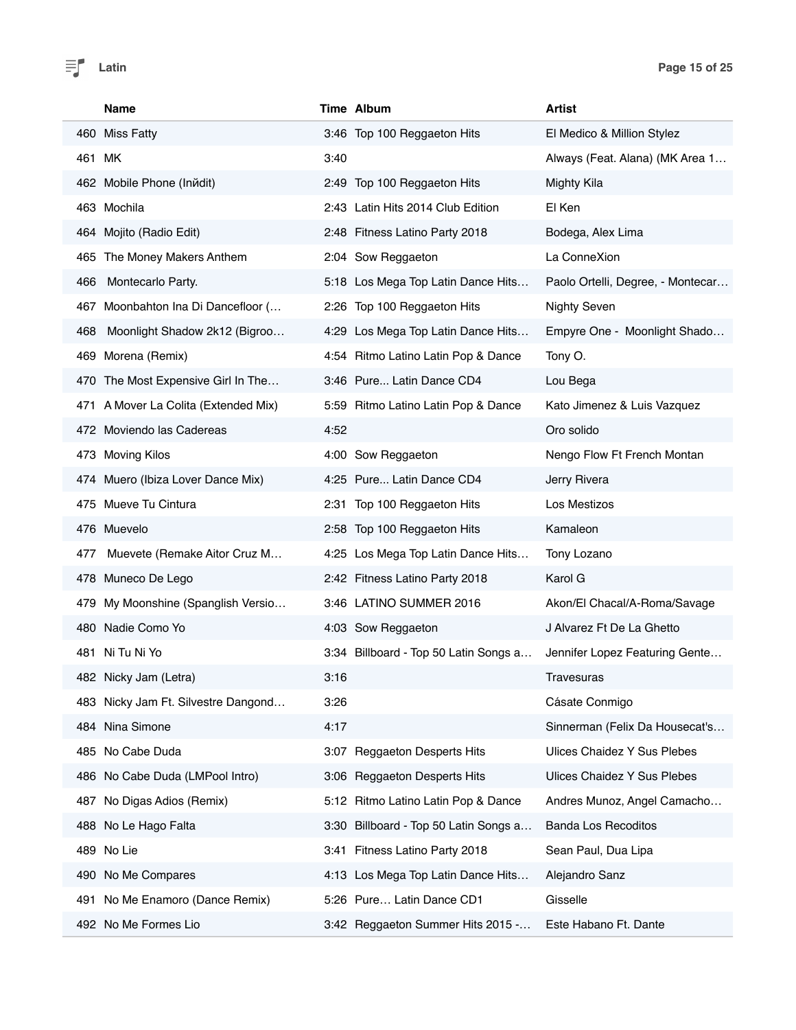|       | Name                                 |      | Time Album                            | <b>Artist</b>                     |
|-------|--------------------------------------|------|---------------------------------------|-----------------------------------|
|       | 460 Miss Fatty                       |      | 3:46 Top 100 Reggaeton Hits           | El Medico & Million Stylez        |
|       | 461 MK                               | 3:40 |                                       | Always (Feat. Alana) (MK Area 1   |
|       | 462 Mobile Phone (Inndit)            |      | 2:49 Top 100 Reggaeton Hits           | Mighty Kila                       |
|       | 463 Mochila                          |      | 2:43 Latin Hits 2014 Club Edition     | El Ken                            |
|       | 464 Mojito (Radio Edit)              |      | 2:48 Fitness Latino Party 2018        | Bodega, Alex Lima                 |
|       | 465 The Money Makers Anthem          |      | 2:04 Sow Reggaeton                    | La ConneXion                      |
| 466   | Montecarlo Party.                    |      | 5:18 Los Mega Top Latin Dance Hits    | Paolo Ortelli, Degree, - Montecar |
| 467   | Moonbahton Ina Di Dancefloor (       |      | 2:26 Top 100 Reggaeton Hits           | <b>Nighty Seven</b>               |
| 468   | Moonlight Shadow 2k12 (Bigroo        |      | 4:29 Los Mega Top Latin Dance Hits    | Empyre One - Moonlight Shado      |
| 469   | Morena (Remix)                       |      | 4:54 Ritmo Latino Latin Pop & Dance   | Tony O.                           |
|       | 470 The Most Expensive Girl In The   |      | 3:46 Pure Latin Dance CD4             | Lou Bega                          |
|       | 471 A Mover La Colita (Extended Mix) |      | 5:59 Ritmo Latino Latin Pop & Dance   | Kato Jimenez & Luis Vazquez       |
|       | 472 Moviendo las Cadereas            | 4:52 |                                       | Oro solido                        |
|       | 473 Moving Kilos                     |      | 4:00 Sow Reggaeton                    | Nengo Flow Ft French Montan       |
|       | 474 Muero (Ibiza Lover Dance Mix)    |      | 4:25 Pure Latin Dance CD4             | Jerry Rivera                      |
|       | 475 Mueve Tu Cintura                 |      | 2:31 Top 100 Reggaeton Hits           | Los Mestizos                      |
|       | 476 Muevelo                          |      | 2:58 Top 100 Reggaeton Hits           | Kamaleon                          |
| 477   | Muevete (Remake Aitor Cruz M         |      | 4:25 Los Mega Top Latin Dance Hits    | Tony Lozano                       |
|       | 478 Muneco De Lego                   |      | 2:42 Fitness Latino Party 2018        | Karol G                           |
| 479.  | My Moonshine (Spanglish Versio       |      | 3:46 LATINO SUMMER 2016               | Akon/El Chacal/A-Roma/Savage      |
|       | 480 Nadie Como Yo                    |      | 4:03 Sow Reggaeton                    | J Alvarez Ft De La Ghetto         |
| 481   | Ni Tu Ni Yo                          |      | 3:34 Billboard - Top 50 Latin Songs a | Jennifer Lopez Featuring Gente    |
|       | 482 Nicky Jam (Letra)                | 3:16 |                                       | Travesuras                        |
|       | 483 Nicky Jam Ft. Silvestre Dangond  | 3:26 |                                       | Cásate Conmigo                    |
|       | 484 Nina Simone                      | 4:17 |                                       | Sinnerman (Felix Da Housecat's    |
| 485   | No Cabe Duda                         |      | 3:07 Reggaeton Desperts Hits          | Ulices Chaidez Y Sus Plebes       |
| 486 - | No Cabe Duda (LMPool Intro)          |      | 3:06 Reggaeton Desperts Hits          | Ulices Chaidez Y Sus Plebes       |
| 487.  | No Digas Adios (Remix)               |      | 5:12 Ritmo Latino Latin Pop & Dance   | Andres Munoz, Angel Camacho       |
|       | 488 No Le Hago Falta                 |      | 3:30 Billboard - Top 50 Latin Songs a | <b>Banda Los Recoditos</b>        |
|       | 489 No Lie                           |      | 3:41 Fitness Latino Party 2018        | Sean Paul, Dua Lipa               |
| 490 - | No Me Compares                       |      | 4:13 Los Mega Top Latin Dance Hits    | Alejandro Sanz                    |
| 491   | No Me Enamoro (Dance Remix)          |      | 5:26 Pure Latin Dance CD1             | Gisselle                          |
|       | 492 No Me Formes Lio                 |      | 3:42 Reggaeton Summer Hits 2015 -     | Este Habano Ft. Dante             |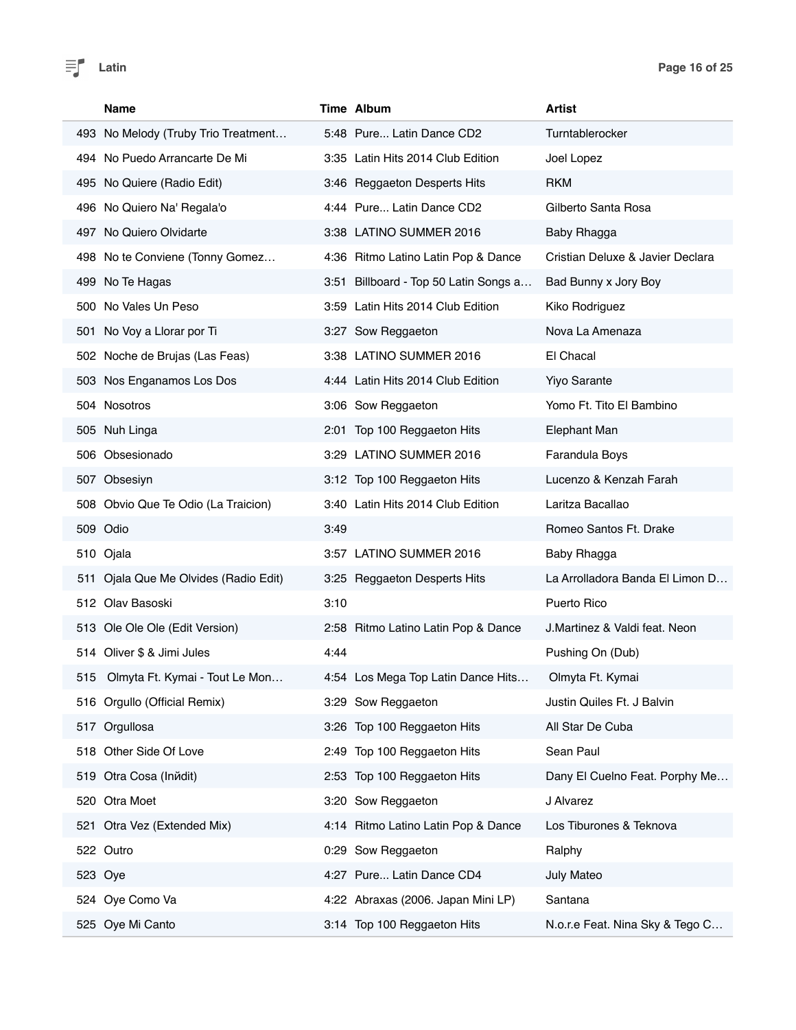| Name                                  | Time Album                            | Artist                           |
|---------------------------------------|---------------------------------------|----------------------------------|
| 493 No Melody (Truby Trio Treatment   | 5:48 Pure Latin Dance CD2             | Turntablerocker                  |
| 494 No Puedo Arrancarte De Mi         | 3:35 Latin Hits 2014 Club Edition     | Joel Lopez                       |
| 495 No Quiere (Radio Edit)            | 3:46 Reggaeton Desperts Hits          | <b>RKM</b>                       |
| 496 No Quiero Na' Regala'o            | 4:44 Pure Latin Dance CD2             | Gilberto Santa Rosa              |
| 497 No Quiero Olvidarte               | 3:38 LATINO SUMMER 2016               | Baby Rhagga                      |
| 498 No te Conviene (Tonny Gomez       | 4:36 Ritmo Latino Latin Pop & Dance   | Cristian Deluxe & Javier Declara |
| 499 No Te Hagas                       | 3:51 Billboard - Top 50 Latin Songs a | Bad Bunny x Jory Boy             |
| 500 No Vales Un Peso                  | 3:59 Latin Hits 2014 Club Edition     | Kiko Rodriguez                   |
| 501 No Voy a Llorar por Ti            | 3:27 Sow Reggaeton                    | Nova La Amenaza                  |
| 502 Noche de Brujas (Las Feas)        | 3:38 LATINO SUMMER 2016               | El Chacal                        |
| 503 Nos Enganamos Los Dos             | 4:44 Latin Hits 2014 Club Edition     | <b>Yiyo Sarante</b>              |
| 504 Nosotros                          | 3:06 Sow Reggaeton                    | Yomo Ft. Tito El Bambino         |
| 505 Nuh Linga                         | 2:01 Top 100 Reggaeton Hits           | <b>Elephant Man</b>              |
| 506 Obsesionado                       | 3:29 LATINO SUMMER 2016               | Farandula Boys                   |
| 507 Obsesiyn                          | 3:12 Top 100 Reggaeton Hits           | Lucenzo & Kenzah Farah           |
| 508 Obvio Que Te Odio (La Traicion)   | 3:40 Latin Hits 2014 Club Edition     | Laritza Bacallao                 |
| 509 Odio                              | 3:49                                  | Romeo Santos Ft. Drake           |
| 510 Ojala                             | 3:57 LATINO SUMMER 2016               | Baby Rhagga                      |
| 511 Ojala Que Me Olvides (Radio Edit) | 3:25 Reggaeton Desperts Hits          | La Arrolladora Banda El Limon D  |
| 512 Olav Basoski                      | 3:10                                  | Puerto Rico                      |
| 513 Ole Ole Ole (Edit Version)        | 2:58 Ritmo Latino Latin Pop & Dance   | J.Martinez & Valdi feat. Neon    |
| 514 Oliver \$ & Jimi Jules            | 4:44                                  | Pushing On (Dub)                 |
| 515<br>Olmyta Ft. Kymai - Tout Le Mon | 4:54 Los Mega Top Latin Dance Hits    | Olmyta Ft. Kymai                 |
| 516 Orgullo (Official Remix)          | 3:29 Sow Reggaeton                    | Justin Quiles Ft. J Balvin       |
| 517 Orgullosa                         | 3:26 Top 100 Reggaeton Hits           | All Star De Cuba                 |
| 518 Other Side Of Love                | 2:49 Top 100 Reggaeton Hits           | Sean Paul                        |
| 519 Otra Cosa (Inňdit)                | 2:53 Top 100 Reggaeton Hits           | Dany El Cuelno Feat. Porphy Me   |
| 520 Otra Moet                         | 3:20 Sow Reggaeton                    | J Alvarez                        |
| 521 Otra Vez (Extended Mix)           | 4:14 Ritmo Latino Latin Pop & Dance   | Los Tiburones & Teknova          |
| 522 Outro                             | 0:29 Sow Reggaeton                    | Ralphy                           |
| 523 Oye                               | 4:27 Pure Latin Dance CD4             | July Mateo                       |
| 524 Oye Como Va                       | 4:22 Abraxas (2006. Japan Mini LP)    | Santana                          |
| 525 Oye Mi Canto                      | 3:14 Top 100 Reggaeton Hits           | N.o.r.e Feat. Nina Sky & Tego C  |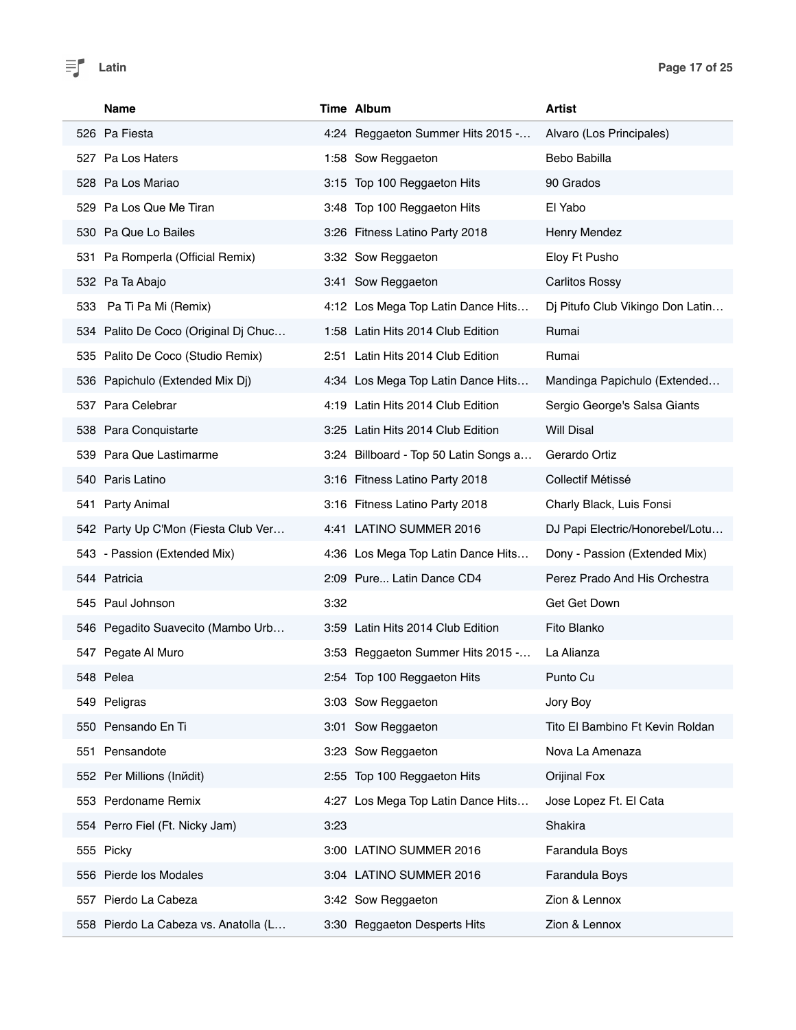| Name                                 | Time Album                            | <b>Artist</b>                    |
|--------------------------------------|---------------------------------------|----------------------------------|
| 526 Pa Fiesta                        | 4:24 Reggaeton Summer Hits 2015 -     | Alvaro (Los Principales)         |
| 527 Pa Los Haters                    | 1:58 Sow Reggaeton                    | Bebo Babilla                     |
| 528 Pa Los Mariao                    | 3:15 Top 100 Reggaeton Hits           | 90 Grados                        |
| 529 Pa Los Que Me Tiran              | 3:48 Top 100 Reggaeton Hits           | El Yabo                          |
| 530 Pa Que Lo Bailes                 | 3:26 Fitness Latino Party 2018        | Henry Mendez                     |
| 531 Pa Romperla (Official Remix)     | 3:32 Sow Reggaeton                    | Eloy Ft Pusho                    |
| 532 Pa Ta Abajo                      | 3:41 Sow Reggaeton                    | <b>Carlitos Rossy</b>            |
| 533 Pa Ti Pa Mi (Remix)              | 4:12 Los Mega Top Latin Dance Hits    | Dj Pitufo Club Vikingo Don Latin |
| 534 Palito De Coco (Original Dj Chuc | 1:58 Latin Hits 2014 Club Edition     | Rumai                            |
| 535 Palito De Coco (Studio Remix)    | 2:51 Latin Hits 2014 Club Edition     | Rumai                            |
| 536 Papichulo (Extended Mix Dj)      | 4:34 Los Mega Top Latin Dance Hits    | Mandinga Papichulo (Extended     |
| 537 Para Celebrar                    | 4:19 Latin Hits 2014 Club Edition     | Sergio George's Salsa Giants     |
| 538 Para Conquistarte                | 3:25 Latin Hits 2014 Club Edition     | <b>Will Disal</b>                |
| 539 Para Que Lastimarme              | 3:24 Billboard - Top 50 Latin Songs a | Gerardo Ortiz                    |
| 540 Paris Latino                     | 3:16 Fitness Latino Party 2018        | Collectif Métissé                |
| 541 Party Animal                     | 3:16 Fitness Latino Party 2018        | Charly Black, Luis Fonsi         |
| 542 Party Up C'Mon (Fiesta Club Ver  | 4:41 LATINO SUMMER 2016               | DJ Papi Electric/Honorebel/Lotu  |
| 543 - Passion (Extended Mix)         | 4:36 Los Mega Top Latin Dance Hits    | Dony - Passion (Extended Mix)    |
| 544 Patricia                         | 2:09 Pure Latin Dance CD4             | Perez Prado And His Orchestra    |
| 545 Paul Johnson                     | 3:32                                  | Get Get Down                     |
| 546 Pegadito Suavecito (Mambo Urb    | 3:59 Latin Hits 2014 Club Edition     | Fito Blanko                      |
| 547 Pegate Al Muro                   | 3:53 Reggaeton Summer Hits 2015 -     | La Alianza                       |
| 548 Pelea                            | 2:54 Top 100 Reggaeton Hits           | Punto Cu                         |
| 549 Peligras                         | 3:03 Sow Reggaeton                    | Jory Boy                         |
| 550 Pensando En Ti                   | 3:01 Sow Reggaeton                    | Tito El Bambino Ft Kevin Roldan  |
| 551 Pensandote                       | 3:23 Sow Reggaeton                    | Nova La Amenaza                  |
| 552 Per Millions (Inйdit)            | 2:55 Top 100 Reggaeton Hits           | Orijinal Fox                     |
| 553 Perdoname Remix                  | 4:27 Los Mega Top Latin Dance Hits    | Jose Lopez Ft. El Cata           |
| 554 Perro Fiel (Ft. Nicky Jam)       | 3:23                                  | Shakira                          |
| 555 Picky                            | 3:00 LATINO SUMMER 2016               | Farandula Boys                   |
| 556 Pierde los Modales               | 3:04 LATINO SUMMER 2016               | Farandula Boys                   |
| 557 Pierdo La Cabeza                 | 3:42 Sow Reggaeton                    | Zion & Lennox                    |
| 558 Pierdo La Cabeza vs. Anatolla (L | 3:30 Reggaeton Desperts Hits          | Zion & Lennox                    |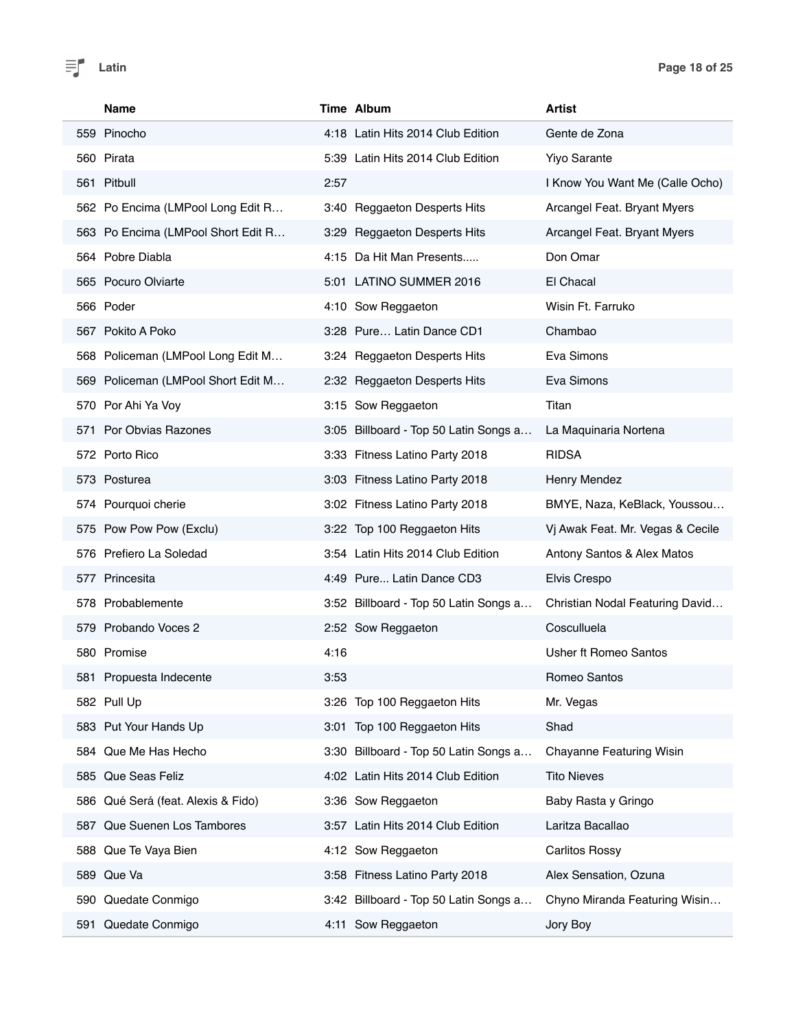|     | <b>Name</b>                        |      | Time Album                            | Artist                           |
|-----|------------------------------------|------|---------------------------------------|----------------------------------|
|     | 559 Pinocho                        |      | 4:18 Latin Hits 2014 Club Edition     | Gente de Zona                    |
|     | 560 Pirata                         |      | 5:39 Latin Hits 2014 Club Edition     | <b>Yiyo Sarante</b>              |
|     | 561 Pitbull                        | 2:57 |                                       | I Know You Want Me (Calle Ocho)  |
|     | 562 Po Encima (LMPool Long Edit R  |      | 3:40 Reggaeton Desperts Hits          | Arcangel Feat. Bryant Myers      |
|     | 563 Po Encima (LMPool Short Edit R |      | 3:29 Reggaeton Desperts Hits          | Arcangel Feat. Bryant Myers      |
|     | 564 Pobre Diabla                   |      | 4:15 Da Hit Man Presents              | Don Omar                         |
|     | 565 Pocuro Olviarte                |      | 5:01 LATINO SUMMER 2016               | El Chacal                        |
|     | 566 Poder                          |      | 4:10 Sow Reggaeton                    | Wisin Ft. Farruko                |
|     | 567 Pokito A Poko                  |      | 3:28 Pure Latin Dance CD1             | Chambao                          |
|     | 568 Policeman (LMPool Long Edit M  |      | 3:24 Reggaeton Desperts Hits          | Eva Simons                       |
|     | 569 Policeman (LMPool Short Edit M |      | 2:32 Reggaeton Desperts Hits          | Eva Simons                       |
|     | 570 Por Ahi Ya Voy                 |      | 3:15 Sow Reggaeton                    | Titan                            |
|     | 571 Por Obvias Razones             |      | 3:05 Billboard - Top 50 Latin Songs a | La Maquinaria Nortena            |
|     | 572 Porto Rico                     |      | 3:33 Fitness Latino Party 2018        | <b>RIDSA</b>                     |
|     | 573 Posturea                       |      | 3:03 Fitness Latino Party 2018        | Henry Mendez                     |
|     | 574 Pourquoi cherie                |      | 3:02 Fitness Latino Party 2018        | BMYE, Naza, KeBlack, Youssou     |
|     | 575 Pow Pow Pow (Exclu)            |      | 3:22 Top 100 Reggaeton Hits           | Vj Awak Feat. Mr. Vegas & Cecile |
|     | 576 Prefiero La Soledad            |      | 3:54 Latin Hits 2014 Club Edition     | Antony Santos & Alex Matos       |
|     | 577 Princesita                     |      | 4:49 Pure Latin Dance CD3             | Elvis Crespo                     |
|     | 578 Probablemente                  |      | 3:52 Billboard - Top 50 Latin Songs a | Christian Nodal Featuring David  |
|     | 579 Probando Voces 2               |      | 2:52 Sow Reggaeton                    | Cosculluela                      |
|     | 580 Promise                        | 4:16 |                                       | Usher ft Romeo Santos            |
|     | 581 Propuesta Indecente            | 3:53 |                                       | Romeo Santos                     |
|     | 582 Pull Up                        |      | 3:26 Top 100 Reggaeton Hits           | Mr. Vegas                        |
|     | 583 Put Your Hands Up              |      | 3:01 Top 100 Reggaeton Hits           | Shad                             |
|     | 584 Que Me Has Hecho               |      | 3:30 Billboard - Top 50 Latin Songs a | Chayanne Featuring Wisin         |
|     | 585 Que Seas Feliz                 |      | 4:02 Latin Hits 2014 Club Edition     | <b>Tito Nieves</b>               |
|     | 586 Qué Será (feat. Alexis & Fido) |      | 3:36 Sow Reggaeton                    | Baby Rasta y Gringo              |
| 587 | Que Suenen Los Tambores            |      | 3:57 Latin Hits 2014 Club Edition     | Laritza Bacallao                 |
| 588 | Que Te Vaya Bien                   |      | 4:12 Sow Reggaeton                    | <b>Carlitos Rossy</b>            |
|     | 589 Que Va                         |      | 3:58 Fitness Latino Party 2018        | Alex Sensation, Ozuna            |
|     | 590 Quedate Conmigo                |      | 3:42 Billboard - Top 50 Latin Songs a | Chyno Miranda Featuring Wisin    |
| 591 | Quedate Conmigo                    | 4:11 | Sow Reggaeton                         | Jory Boy                         |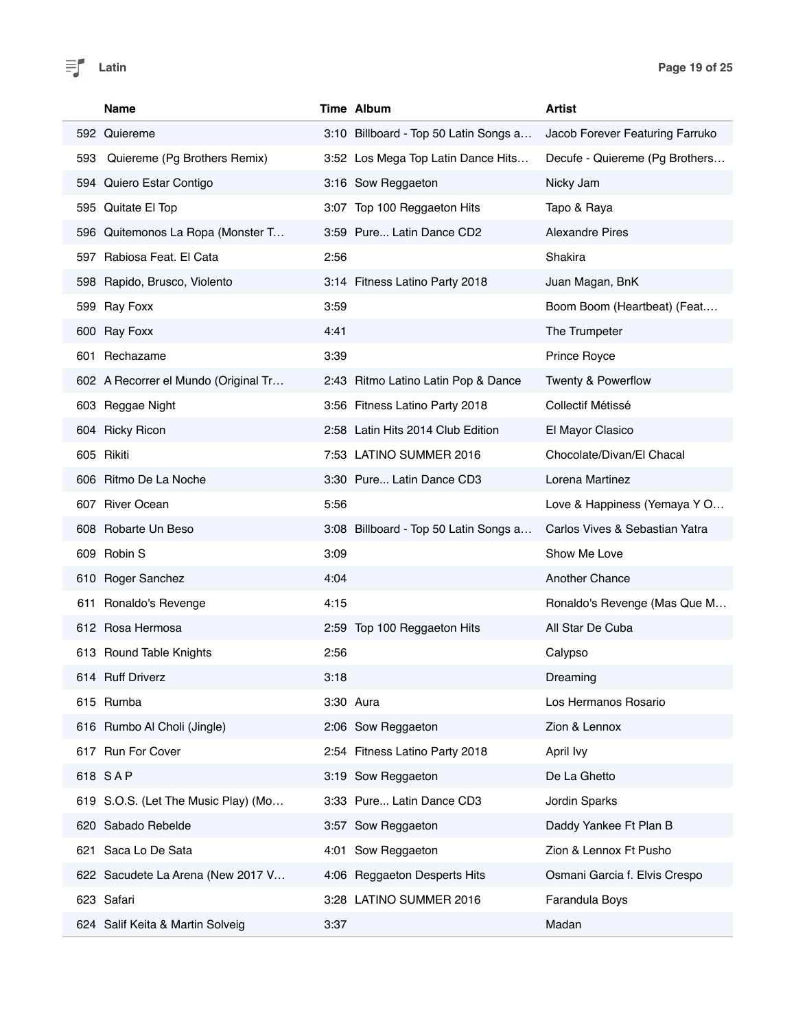

| <b>Name</b>                          | Time Album                            | Artist                          |
|--------------------------------------|---------------------------------------|---------------------------------|
| 592 Quiereme                         | 3:10 Billboard - Top 50 Latin Songs a | Jacob Forever Featuring Farruko |
| Quiereme (Pg Brothers Remix)<br>593  | 3:52 Los Mega Top Latin Dance Hits    | Decufe - Quiereme (Pg Brothers  |
| 594 Quiero Estar Contigo             | 3:16 Sow Reggaeton                    | Nicky Jam                       |
| 595 Quitate El Top                   | 3:07 Top 100 Reggaeton Hits           | Tapo & Raya                     |
| 596 Quitemonos La Ropa (Monster T    | 3:59 Pure Latin Dance CD2             | <b>Alexandre Pires</b>          |
| 597 Rabiosa Feat. El Cata            | 2:56                                  | Shakira                         |
| 598 Rapido, Brusco, Violento         | 3:14 Fitness Latino Party 2018        | Juan Magan, BnK                 |
| 599 Ray Foxx                         | 3:59                                  | Boom Boom (Heartbeat) (Feat     |
| 600 Ray Foxx                         | 4:41                                  | The Trumpeter                   |
| Rechazame<br>601                     | 3:39                                  | Prince Royce                    |
| 602 A Recorrer el Mundo (Original Tr | 2:43 Ritmo Latino Latin Pop & Dance   | Twenty & Powerflow              |
| 603 Reggae Night                     | 3:56 Fitness Latino Party 2018        | Collectif Métissé               |
| 604 Ricky Ricon                      | 2:58 Latin Hits 2014 Club Edition     | El Mayor Clasico                |
| 605 Rikiti                           | 7:53 LATINO SUMMER 2016               | Chocolate/Divan/El Chacal       |
| 606 Ritmo De La Noche                | 3:30 Pure Latin Dance CD3             | Lorena Martinez                 |
| 607 River Ocean                      | 5:56                                  | Love & Happiness (Yemaya Y O    |
| 608 Robarte Un Beso                  | 3:08 Billboard - Top 50 Latin Songs a | Carlos Vives & Sebastian Yatra  |
| 609 Robin S                          | 3:09                                  | Show Me Love                    |
| 610 Roger Sanchez                    | 4:04                                  | <b>Another Chance</b>           |
| 611 Ronaldo's Revenge                | 4:15                                  | Ronaldo's Revenge (Mas Que M    |
| 612 Rosa Hermosa                     | 2:59 Top 100 Reggaeton Hits           | All Star De Cuba                |
| 613 Round Table Knights              | 2:56                                  | Calypso                         |
| 614 Ruff Driverz                     | 3:18                                  | Dreaming                        |
| 615 Rumba                            | 3:30 Aura                             | Los Hermanos Rosario            |
| 616 Rumbo Al Choli (Jingle)          | 2:06 Sow Reggaeton                    | Zion & Lennox                   |
| 617 Run For Cover                    | 2:54 Fitness Latino Party 2018        | April Ivy                       |
| 618 SAP                              | 3:19 Sow Reggaeton                    | De La Ghetto                    |
| 619 S.O.S. (Let The Music Play) (Mo  | 3:33 Pure Latin Dance CD3             | Jordin Sparks                   |
| 620 Sabado Rebelde                   | 3:57 Sow Reggaeton                    | Daddy Yankee Ft Plan B          |
| 621 Saca Lo De Sata                  | 4:01 Sow Reggaeton                    | Zion & Lennox Ft Pusho          |
| 622 Sacudete La Arena (New 2017 V    | 4:06 Reggaeton Desperts Hits          | Osmani Garcia f. Elvis Crespo   |
| 623 Safari                           | 3:28 LATINO SUMMER 2016               | Farandula Boys                  |
| 624 Salif Keita & Martin Solveig     | 3:37                                  | Madan                           |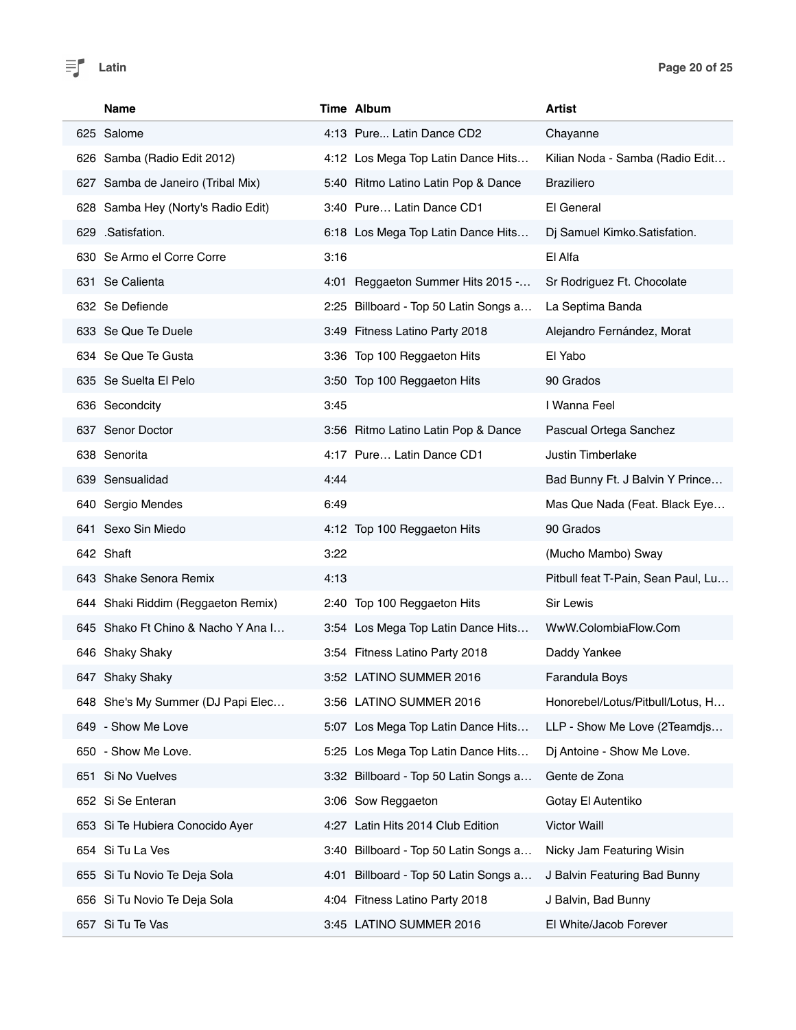| <b>Name</b>                        |      | Time Album                            | <b>Artist</b>                      |
|------------------------------------|------|---------------------------------------|------------------------------------|
| 625 Salome                         |      | 4:13 Pure Latin Dance CD2             | Chayanne                           |
| 626 Samba (Radio Edit 2012)        |      | 4:12 Los Mega Top Latin Dance Hits    | Kilian Noda - Samba (Radio Edit    |
| 627 Samba de Janeiro (Tribal Mix)  |      | 5:40 Ritmo Latino Latin Pop & Dance   | <b>Braziliero</b>                  |
| 628 Samba Hey (Norty's Radio Edit) |      | 3:40 Pure Latin Dance CD1             | El General                         |
| 629 .Satisfation.                  |      | 6:18 Los Mega Top Latin Dance Hits    | Dj Samuel Kimko.Satisfation.       |
| 630 Se Armo el Corre Corre         | 3:16 |                                       | El Alfa                            |
| 631 Se Calienta                    |      | 4:01 Reggaeton Summer Hits 2015 -     | Sr Rodriguez Ft. Chocolate         |
| 632 Se Defiende                    |      | 2:25 Billboard - Top 50 Latin Songs a | La Septima Banda                   |
| 633 Se Que Te Duele                |      | 3:49 Fitness Latino Party 2018        | Alejandro Fernández, Morat         |
| 634 Se Que Te Gusta                |      | 3:36 Top 100 Reggaeton Hits           | El Yabo                            |
| 635 Se Suelta El Pelo              |      | 3:50 Top 100 Reggaeton Hits           | 90 Grados                          |
| 636 Secondcity                     | 3:45 |                                       | I Wanna Feel                       |
| 637 Senor Doctor                   |      | 3:56 Ritmo Latino Latin Pop & Dance   | Pascual Ortega Sanchez             |
| 638 Senorita                       |      | 4:17 Pure Latin Dance CD1             | <b>Justin Timberlake</b>           |
| 639 Sensualidad                    | 4:44 |                                       | Bad Bunny Ft. J Balvin Y Prince    |
| 640 Sergio Mendes                  | 6:49 |                                       | Mas Que Nada (Feat. Black Eye      |
| 641 Sexo Sin Miedo                 |      | 4:12 Top 100 Reggaeton Hits           | 90 Grados                          |
| 642 Shaft                          | 3:22 |                                       | (Mucho Mambo) Sway                 |
| 643 Shake Senora Remix             | 4:13 |                                       | Pitbull feat T-Pain, Sean Paul, Lu |
| 644 Shaki Riddim (Reggaeton Remix) |      | 2:40 Top 100 Reggaeton Hits           | <b>Sir Lewis</b>                   |
| 645 Shako Ft Chino & Nacho Y Ana I |      | 3:54 Los Mega Top Latin Dance Hits    | WwW.ColombiaFlow.Com               |
| 646 Shaky Shaky                    |      | 3:54 Fitness Latino Party 2018        | Daddy Yankee                       |
| 647 Shaky Shaky                    |      | 3:52 LATINO SUMMER 2016               | Farandula Boys                     |
| 648 She's My Summer (DJ Papi Elec  |      | 3:56 LATINO SUMMER 2016               | Honorebel/Lotus/Pitbull/Lotus, H   |
| 649 - Show Me Love                 |      | 5:07 Los Mega Top Latin Dance Hits    | LLP - Show Me Love (2Teamdjs       |
| 650 - Show Me Love.                |      | 5:25 Los Mega Top Latin Dance Hits    | Dj Antoine - Show Me Love.         |
| Si No Vuelves<br>651               |      | 3:32 Billboard - Top 50 Latin Songs a | Gente de Zona                      |
| 652 Si Se Enteran                  |      | 3:06 Sow Reggaeton                    | Gotay El Autentiko                 |
| 653 Si Te Hubiera Conocido Ayer    |      | 4:27 Latin Hits 2014 Club Edition     | <b>Victor Waill</b>                |
| Si Tu La Ves<br>654                | 3:40 | Billboard - Top 50 Latin Songs a      | Nicky Jam Featuring Wisin          |
| Si Tu Novio Te Deja Sola<br>655    | 4:01 | Billboard - Top 50 Latin Songs a      | J Balvin Featuring Bad Bunny       |
| Si Tu Novio Te Deja Sola<br>656    |      | 4:04 Fitness Latino Party 2018        | J Balvin, Bad Bunny                |
| 657 Si Tu Te Vas                   |      | 3:45 LATINO SUMMER 2016               | El White/Jacob Forever             |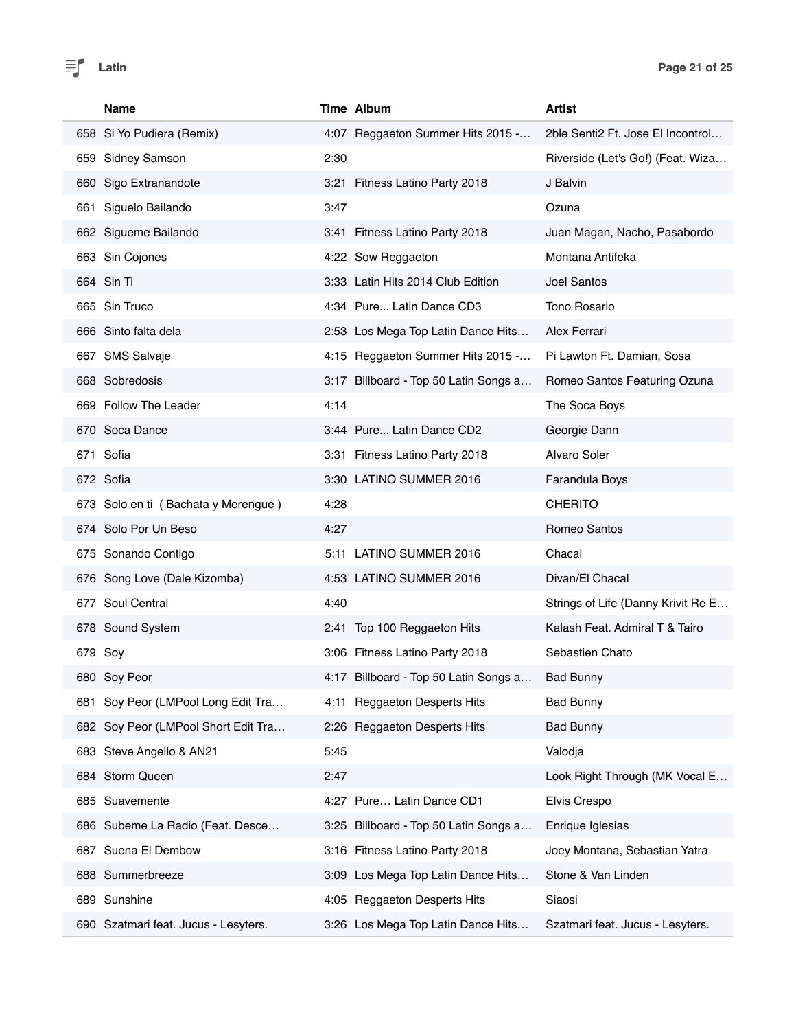

| Name                                 | Time Album                               | Artist                             |
|--------------------------------------|------------------------------------------|------------------------------------|
| 658 Si Yo Pudiera (Remix)            | 4:07 Reggaeton Summer Hits 2015 -        | 2ble Senti2 Ft. Jose El Incontrol  |
| 659 Sidney Samson                    | 2:30                                     | Riverside (Let's Go!) (Feat. Wiza  |
| 660 Sigo Extranandote                | 3:21 Fitness Latino Party 2018           | J Balvin                           |
| Siguelo Bailando<br>661              | 3:47                                     | Ozuna                              |
| 662 Sigueme Bailando                 | 3:41 Fitness Latino Party 2018           | Juan Magan, Nacho, Pasabordo       |
| 663 Sin Cojones                      | 4:22 Sow Reggaeton                       | Montana Antifeka                   |
| 664 Sin Ti                           | 3:33 Latin Hits 2014 Club Edition        | <b>Joel Santos</b>                 |
| 665 Sin Truco                        | 4:34 Pure Latin Dance CD3                | Tono Rosario                       |
| 666 Sinto falta dela                 | 2:53 Los Mega Top Latin Dance Hits       | Alex Ferrari                       |
| 667 SMS Salvaje                      | 4:15 Reggaeton Summer Hits 2015 -        | Pi Lawton Ft. Damian, Sosa         |
| 668 Sobredosis                       | 3:17 Billboard - Top 50 Latin Songs a    | Romeo Santos Featuring Ozuna       |
| 669 Follow The Leader                | 4:14                                     | The Soca Boys                      |
| 670 Soca Dance                       | 3:44 Pure Latin Dance CD2                | Georgie Dann                       |
| 671 Sofia                            | 3:31 Fitness Latino Party 2018           | <b>Alvaro Soler</b>                |
| 672 Sofia                            | 3:30 LATINO SUMMER 2016                  | Farandula Boys                     |
| 673 Solo en ti (Bachata y Merengue)  | 4:28                                     | <b>CHERITO</b>                     |
| 674 Solo Por Un Beso                 | 4:27                                     | Romeo Santos                       |
| 675 Sonando Contigo                  | 5:11 LATINO SUMMER 2016                  | Chacal                             |
| 676 Song Love (Dale Kizomba)         | 4:53 LATINO SUMMER 2016                  | Divan/El Chacal                    |
| 677 Soul Central                     | 4:40                                     | Strings of Life (Danny Krivit Re E |
| 678 Sound System                     | 2:41 Top 100 Reggaeton Hits              | Kalash Feat. Admiral T & Tairo     |
| 679 Soy                              | 3:06 Fitness Latino Party 2018           | Sebastien Chato                    |
| 680 Sov Peor                         | 4:17 Billboard - Top 50 Latin Songs a    | <b>Bad Bunny</b>                   |
| 681 Soy Peor (LMPool Long Edit Tra   | 4:11 Reggaeton Desperts Hits             | <b>Bad Bunny</b>                   |
| 682 Soy Peor (LMPool Short Edit Tra  | 2:26 Reggaeton Desperts Hits             | <b>Bad Bunny</b>                   |
| 683 Steve Angello & AN21             | 5:45                                     | Valodja                            |
| 684 Storm Queen                      | 2:47                                     | Look Right Through (MK Vocal E     |
| 685 Suavemente                       | 4:27 Pure Latin Dance CD1                | Elvis Crespo                       |
| 686 Subeme La Radio (Feat. Desce     | Billboard - Top 50 Latin Songs a<br>3:25 | Enrique Iglesias                   |
| 687 Suena El Dembow                  | 3:16 Fitness Latino Party 2018           | Joey Montana, Sebastian Yatra      |
| 688 Summerbreeze                     | Los Mega Top Latin Dance Hits<br>3:09    | Stone & Van Linden                 |
| 689 Sunshine                         | 4:05 Reggaeton Desperts Hits             | Siaosi                             |
| 690 Szatmari feat. Jucus - Lesyters. | 3:26 Los Mega Top Latin Dance Hits       | Szatmari feat. Jucus - Lesyters.   |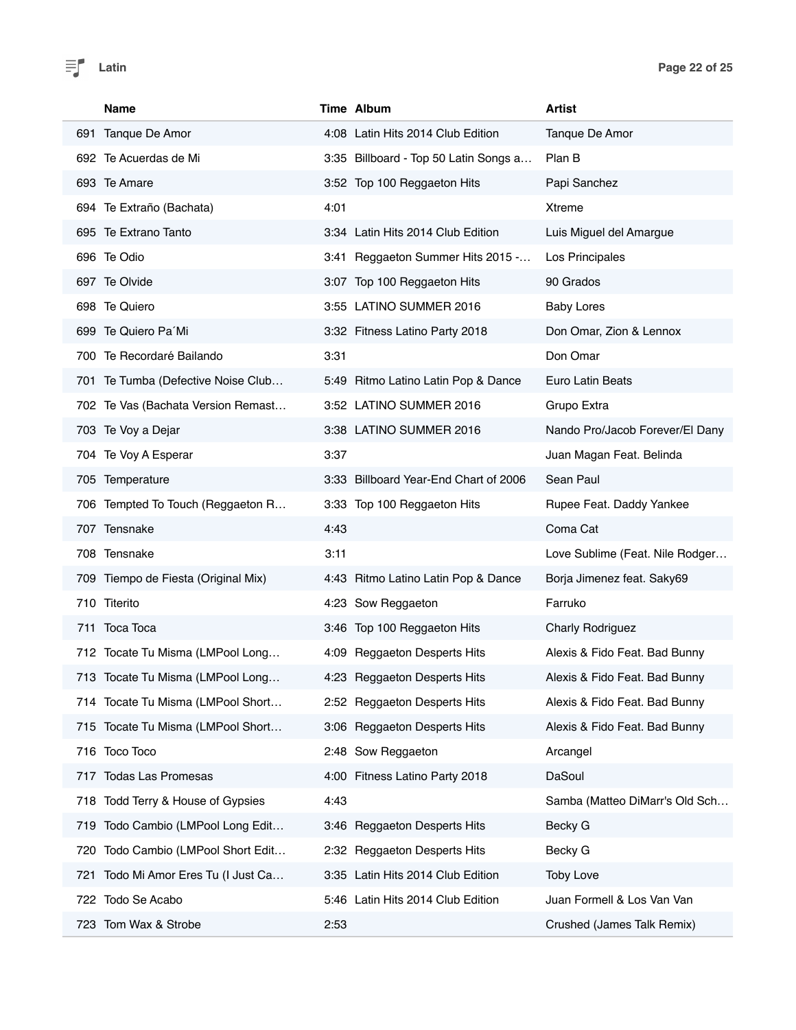| Name                                   | Time Album                            | Artist                          |
|----------------------------------------|---------------------------------------|---------------------------------|
| 691 Tanque De Amor                     | 4:08 Latin Hits 2014 Club Edition     | Tanque De Amor                  |
| 692 Te Acuerdas de Mi                  | 3:35 Billboard - Top 50 Latin Songs a | Plan B                          |
| 693 Te Amare                           | 3:52 Top 100 Reggaeton Hits           | Papi Sanchez                    |
| 694 Te Extraño (Bachata)               | 4:01                                  | <b>Xtreme</b>                   |
| 695 Te Extrano Tanto                   | 3:34 Latin Hits 2014 Club Edition     | Luis Miguel del Amargue         |
| 696 Te Odio                            | 3:41 Reggaeton Summer Hits 2015 -     | Los Principales                 |
| 697 Te Olvide                          | 3:07 Top 100 Reggaeton Hits           | 90 Grados                       |
| 698 Te Quiero                          | 3:55 LATINO SUMMER 2016               | <b>Baby Lores</b>               |
| 699 Te Quiero Pa'Mi                    | 3:32 Fitness Latino Party 2018        | Don Omar, Zion & Lennox         |
| 700 Te Recordaré Bailando              | 3:31                                  | Don Omar                        |
| 701 Te Tumba (Defective Noise Club     | 5:49 Ritmo Latino Latin Pop & Dance   | <b>Euro Latin Beats</b>         |
| 702 Te Vas (Bachata Version Remast     | 3:52 LATINO SUMMER 2016               | Grupo Extra                     |
| 703 Te Voy a Dejar                     | 3:38 LATINO SUMMER 2016               | Nando Pro/Jacob Forever/El Dany |
| 704 Te Voy A Esperar                   | 3:37                                  | Juan Magan Feat. Belinda        |
| 705 Temperature                        | 3:33 Billboard Year-End Chart of 2006 | Sean Paul                       |
| 706 Tempted To Touch (Reggaeton R      | 3:33 Top 100 Reggaeton Hits           | Rupee Feat. Daddy Yankee        |
| 707 Tensnake                           | 4:43                                  | Coma Cat                        |
| 708 Tensnake                           | 3:11                                  | Love Sublime (Feat. Nile Rodger |
| 709 Tiempo de Fiesta (Original Mix)    | 4:43 Ritmo Latino Latin Pop & Dance   | Borja Jimenez feat. Saky69      |
| 710 Titerito                           | 4:23 Sow Reggaeton                    | Farruko                         |
| 711 Toca Toca                          | 3:46 Top 100 Reggaeton Hits           | <b>Charly Rodriguez</b>         |
| 712 Tocate Tu Misma (LMPool Long       | 4:09 Reggaeton Desperts Hits          | Alexis & Fido Feat. Bad Bunny   |
| 713 Tocate Tu Misma (LMPool Long       | 4:23 Reggaeton Desperts Hits          | Alexis & Fido Feat. Bad Bunny   |
| 714 Tocate Tu Misma (LMPool Short      | 2:52 Reggaeton Desperts Hits          | Alexis & Fido Feat. Bad Bunny   |
| 715 Tocate Tu Misma (LMPool Short      | 3:06 Reggaeton Desperts Hits          | Alexis & Fido Feat. Bad Bunny   |
| 716 Toco Toco                          | 2:48 Sow Reggaeton                    | Arcangel                        |
| 717 Todas Las Promesas                 | 4:00 Fitness Latino Party 2018        | DaSoul                          |
| 718 Todd Terry & House of Gypsies      | 4:43                                  | Samba (Matteo DiMarr's Old Sch  |
| 719 Todo Cambio (LMPool Long Edit      | 3:46 Reggaeton Desperts Hits          | Becky G                         |
| 720 Todo Cambio (LMPool Short Edit     | 2:32 Reggaeton Desperts Hits          | Becky G                         |
| Todo Mi Amor Eres Tu (I Just Ca<br>721 | 3:35 Latin Hits 2014 Club Edition     | <b>Toby Love</b>                |
| 722 Todo Se Acabo                      | 5:46 Latin Hits 2014 Club Edition     | Juan Formell & Los Van Van      |
| 723 Tom Wax & Strobe                   | 2:53                                  | Crushed (James Talk Remix)      |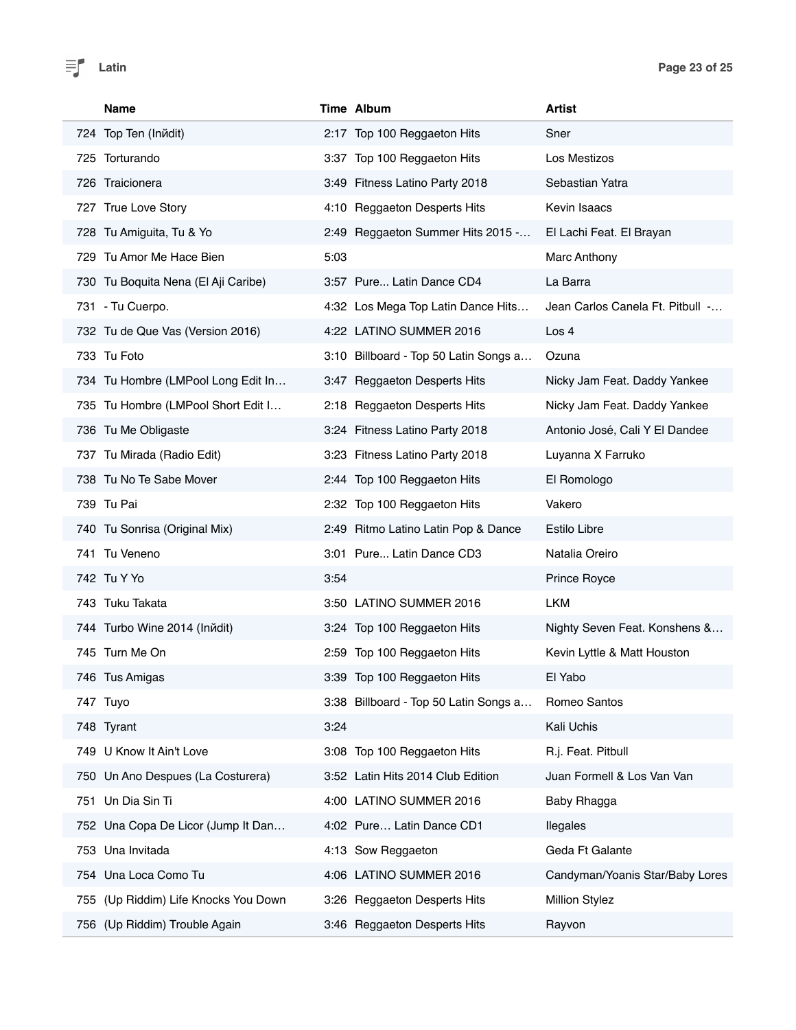| <b>Name</b>                             | Time Album                            | <b>Artist</b>                    |
|-----------------------------------------|---------------------------------------|----------------------------------|
| 724 Top Ten (Inndit)                    | 2:17 Top 100 Reggaeton Hits           | Sner                             |
| 725 Torturando                          | 3:37 Top 100 Reggaeton Hits           | Los Mestizos                     |
| 726 Traicionera                         | 3:49 Fitness Latino Party 2018        | Sebastian Yatra                  |
| 727 True Love Story                     | 4:10 Reggaeton Desperts Hits          | Kevin Isaacs                     |
| 728 Tu Amiguita, Tu & Yo                | 2:49 Reggaeton Summer Hits 2015 -     | El Lachi Feat. El Brayan         |
| 729 Tu Amor Me Hace Bien                | 5:03                                  | Marc Anthony                     |
| 730 Tu Boquita Nena (El Aji Caribe)     | 3:57 Pure Latin Dance CD4             | La Barra                         |
| 731 - Tu Cuerpo.                        | 4:32 Los Mega Top Latin Dance Hits    | Jean Carlos Canela Ft. Pitbull - |
| 732 Tu de Que Vas (Version 2016)        | 4:22 LATINO SUMMER 2016               | Los 4                            |
| 733 Tu Foto                             | 3:10 Billboard - Top 50 Latin Songs a | Ozuna                            |
| 734 Tu Hombre (LMPool Long Edit In      | 3:47 Reggaeton Desperts Hits          | Nicky Jam Feat. Daddy Yankee     |
| 735 Tu Hombre (LMPool Short Edit I      | 2:18 Reggaeton Desperts Hits          | Nicky Jam Feat. Daddy Yankee     |
| 736 Tu Me Obligaste                     | 3:24 Fitness Latino Party 2018        | Antonio José, Cali Y El Dandee   |
| 737 Tu Mirada (Radio Edit)              | 3:23 Fitness Latino Party 2018        | Luyanna X Farruko                |
| 738 Tu No Te Sabe Mover                 | 2:44 Top 100 Reggaeton Hits           | El Romologo                      |
| 739 Tu Pai                              | 2:32 Top 100 Reggaeton Hits           | Vakero                           |
| 740 Tu Sonrisa (Original Mix)           | 2:49 Ritmo Latino Latin Pop & Dance   | Estilo Libre                     |
| 741 Tu Veneno                           | 3:01 Pure Latin Dance CD3             | Natalia Oreiro                   |
| 742 Tu Y Yo                             | 3:54                                  | Prince Royce                     |
| 743 Tuku Takata                         | 3:50 LATINO SUMMER 2016               | <b>LKM</b>                       |
| 744 Turbo Wine 2014 (Inйdit)            | 3:24 Top 100 Reggaeton Hits           | Nighty Seven Feat. Konshens &    |
| 745 Turn Me On                          | 2:59 Top 100 Reggaeton Hits           | Kevin Lyttle & Matt Houston      |
| 746 Tus Amigas                          | 3:39 Top 100 Reggaeton Hits           | El Yabo                          |
| 747 Tuyo                                | 3:38 Billboard - Top 50 Latin Songs a | Romeo Santos                     |
| 748 Tyrant                              | 3:24                                  | Kali Uchis                       |
| 749 U Know It Ain't Love                | 3:08 Top 100 Reggaeton Hits           | R.j. Feat. Pitbull               |
| 750 Un Ano Despues (La Costurera)       | 3:52 Latin Hits 2014 Club Edition     | Juan Formell & Los Van Van       |
| Un Dia Sin Ti<br>751                    | 4:00 LATINO SUMMER 2016               | Baby Rhagga                      |
| 752 Una Copa De Licor (Jump It Dan      | 4:02 Pure Latin Dance CD1             | llegales                         |
| Una Invitada<br>753                     | 4:13 Sow Reggaeton                    | Geda Ft Galante                  |
| Una Loca Como Tu<br>754                 | 4:06 LATINO SUMMER 2016               | Candyman/Yoanis Star/Baby Lores  |
| (Up Riddim) Life Knocks You Down<br>755 | 3:26 Reggaeton Desperts Hits          | <b>Million Stylez</b>            |
| 756 (Up Riddim) Trouble Again           | 3:46 Reggaeton Desperts Hits          | Rayvon                           |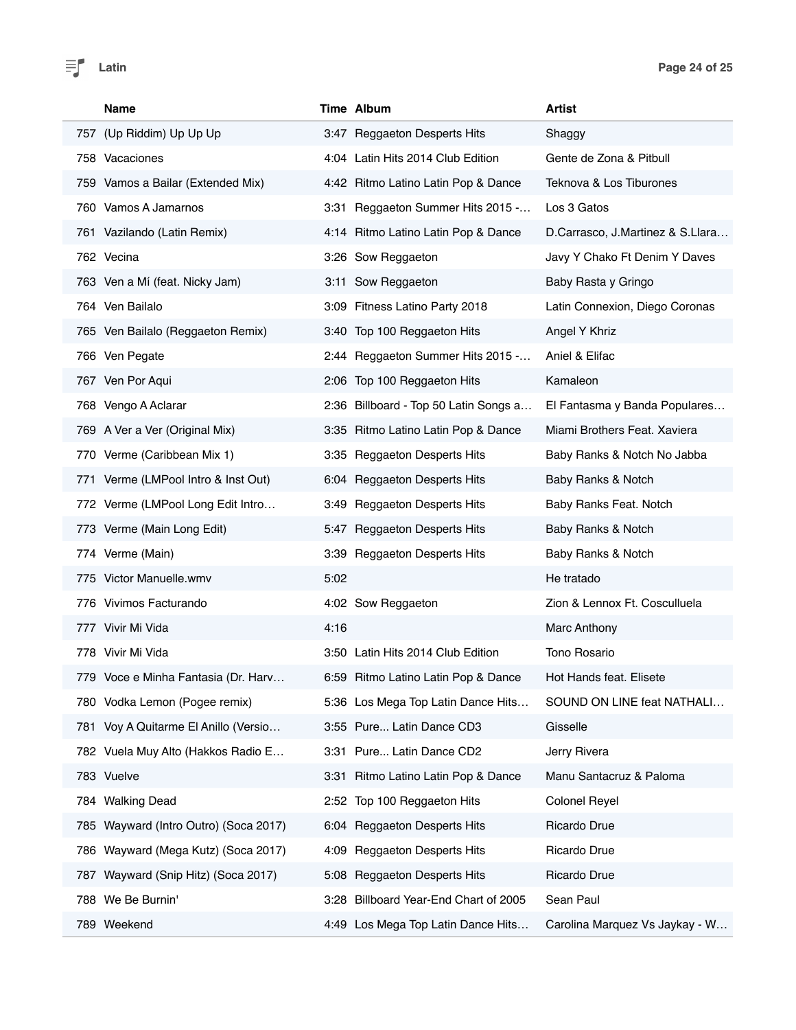| Name                                   | Time Album                             | <b>Artist</b>                    |
|----------------------------------------|----------------------------------------|----------------------------------|
| 757 (Up Riddim) Up Up Up               | 3:47 Reggaeton Desperts Hits           | Shaggy                           |
| 758 Vacaciones                         | 4:04 Latin Hits 2014 Club Edition      | Gente de Zona & Pitbull          |
| 759 Vamos a Bailar (Extended Mix)      | 4:42 Ritmo Latino Latin Pop & Dance    | Teknova & Los Tiburones          |
| 760 Vamos A Jamarnos                   | 3:31 Reggaeton Summer Hits 2015 -      | Los 3 Gatos                      |
| 761 Vazilando (Latin Remix)            | 4:14 Ritmo Latino Latin Pop & Dance    | D.Carrasco, J.Martinez & S.Llara |
| 762 Vecina                             | 3:26 Sow Reggaeton                     | Javy Y Chako Ft Denim Y Daves    |
| 763 Ven a Mí (feat. Nicky Jam)         | 3:11 Sow Reggaeton                     | Baby Rasta y Gringo              |
| 764 Ven Bailalo                        | 3:09 Fitness Latino Party 2018         | Latin Connexion, Diego Coronas   |
| 765 Ven Bailalo (Reggaeton Remix)      | 3:40 Top 100 Reggaeton Hits            | Angel Y Khriz                    |
| 766 Ven Pegate                         | 2:44 Reggaeton Summer Hits 2015 -      | Aniel & Elifac                   |
| 767 Ven Por Aqui                       | 2:06 Top 100 Reggaeton Hits            | Kamaleon                         |
| 768 Vengo A Aclarar                    | 2:36 Billboard - Top 50 Latin Songs a  | El Fantasma y Banda Populares    |
| 769 A Ver a Ver (Original Mix)         | 3:35 Ritmo Latino Latin Pop & Dance    | Miami Brothers Feat, Xaviera     |
| 770 Verme (Caribbean Mix 1)            | 3:35 Reggaeton Desperts Hits           | Baby Ranks & Notch No Jabba      |
| 771 Verme (LMPool Intro & Inst Out)    | 6:04 Reggaeton Desperts Hits           | Baby Ranks & Notch               |
| 772 Verme (LMPool Long Edit Intro      | 3:49 Reggaeton Desperts Hits           | Baby Ranks Feat. Notch           |
| 773 Verme (Main Long Edit)             | 5:47 Reggaeton Desperts Hits           | Baby Ranks & Notch               |
| 774 Verme (Main)                       | 3:39 Reggaeton Desperts Hits           | Baby Ranks & Notch               |
| 775 Victor Manuelle.wmv                | 5:02                                   | He tratado                       |
| 776 Vivimos Facturando                 | 4:02 Sow Reggaeton                     | Zion & Lennox Ft. Cosculluela    |
| 777 Vivir Mi Vida                      | 4:16                                   | Marc Anthony                     |
| 778 Vivir Mi Vida                      | 3:50 Latin Hits 2014 Club Edition      | Tono Rosario                     |
| 779 Voce e Minha Fantasia (Dr. Harv    | 6:59 Ritmo Latino Latin Pop & Dance    | Hot Hands feat. Elisete          |
| 780 Vodka Lemon (Pogee remix)          | 5:36 Los Mega Top Latin Dance Hits     | SOUND ON LINE feat NATHALI       |
| 781 Voy A Quitarme El Anillo (Versio   | 3:55 Pure Latin Dance CD3              | Gisselle                         |
| 782 Vuela Muy Alto (Hakkos Radio E     | 3:31 Pure Latin Dance CD2              | Jerry Rivera                     |
| 783 Vuelve                             | 3:31 Ritmo Latino Latin Pop & Dance    | Manu Santacruz & Paloma          |
| 784 Walking Dead                       | 2:52 Top 100 Reggaeton Hits            | <b>Colonel Reyel</b>             |
| 785 Wayward (Intro Outro) (Soca 2017)  | 6:04 Reggaeton Desperts Hits           | Ricardo Drue                     |
| Wayward (Mega Kutz) (Soca 2017)<br>786 | <b>Reggaeton Desperts Hits</b><br>4:09 | Ricardo Drue                     |
| 787 Wayward (Snip Hitz) (Soca 2017)    | 5:08 Reggaeton Desperts Hits           | Ricardo Drue                     |
| 788 We Be Burnin'                      | 3:28 Billboard Year-End Chart of 2005  | Sean Paul                        |
| 789 Weekend                            | 4:49 Los Mega Top Latin Dance Hits     | Carolina Marquez Vs Jaykay - W   |